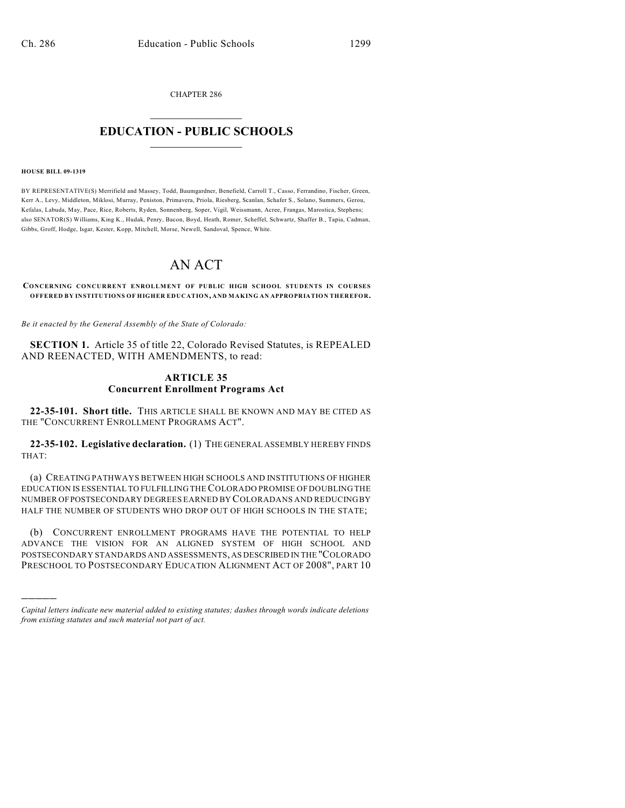CHAPTER 286

# $\mathcal{L}_\text{max}$  . The set of the set of the set of the set of the set of the set of the set of the set of the set of the set of the set of the set of the set of the set of the set of the set of the set of the set of the set **EDUCATION - PUBLIC SCHOOLS**  $\_$   $\_$   $\_$   $\_$   $\_$   $\_$   $\_$   $\_$   $\_$

#### **HOUSE BILL 09-1319**

)))))

BY REPRESENTATIVE(S) Merrifield and Massey, Todd, Baumgardner, Benefield, Carroll T., Casso, Ferrandino, Fischer, Green, Kerr A., Levy, Middleton, Miklosi, Murray, Peniston, Primavera, Priola, Riesberg, Scanlan, Schafer S., Solano, Summers, Gerou, Kefalas, Labuda, May, Pace, Rice, Roberts, Ryden, Sonnenberg, Soper, Vigil, Weissmann, Acree, Frangas, Marostica, Stephens; also SENATOR(S) Williams, King K., Hudak, Penry, Bacon, Boyd, Heath, Romer, Scheffel, Schwartz, Shaffer B., Tapia, Cadman, Gibbs, Groff, Hodge, Isgar, Kester, Kopp, Mitchell, Morse, Newell, Sandoval, Spence, White.

# AN ACT

**CONCERNING CONCURRENT ENROLLMENT OF PUBLIC HIGH SCHOOL STUDENTS IN COURSES OFFERED BY INSTITUTIONS OF HIGHER EDUCATION, AND MAKING AN APPROPRIATION THEREFOR.**

*Be it enacted by the General Assembly of the State of Colorado:*

**SECTION 1.** Article 35 of title 22, Colorado Revised Statutes, is REPEALED AND REENACTED, WITH AMENDMENTS, to read:

### **ARTICLE 35 Concurrent Enrollment Programs Act**

**22-35-101. Short title.** THIS ARTICLE SHALL BE KNOWN AND MAY BE CITED AS THE "CONCURRENT ENROLLMENT PROGRAMS ACT".

**22-35-102. Legislative declaration.** (1) THE GENERAL ASSEMBLY HEREBY FINDS THAT:

(a) CREATING PATHWAYS BETWEEN HIGH SCHOOLS AND INSTITUTIONS OF HIGHER EDUCATION IS ESSENTIAL TO FULFILLING THE COLORADO PROMISE OF DOUBLING THE NUMBER OF POSTSECONDARY DEGREES EARNED BY COLORADANS AND REDUCING BY HALF THE NUMBER OF STUDENTS WHO DROP OUT OF HIGH SCHOOLS IN THE STATE;

(b) CONCURRENT ENROLLMENT PROGRAMS HAVE THE POTENTIAL TO HELP ADVANCE THE VISION FOR AN ALIGNED SYSTEM OF HIGH SCHOOL AND POSTSECONDARY STANDARDS AND ASSESSMENTS, AS DESCRIBED IN THE "COLORADO PRESCHOOL TO POSTSECONDARY EDUCATION ALIGNMENT ACT OF 2008", PART 10

*Capital letters indicate new material added to existing statutes; dashes through words indicate deletions from existing statutes and such material not part of act.*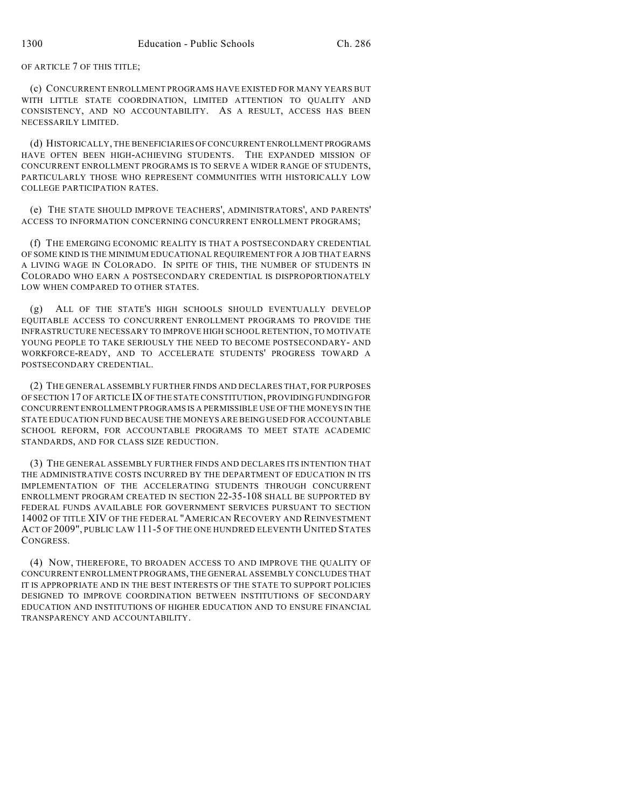OF ARTICLE 7 OF THIS TITLE;

(c) CONCURRENT ENROLLMENT PROGRAMS HAVE EXISTED FOR MANY YEARS BUT WITH LITTLE STATE COORDINATION, LIMITED ATTENTION TO QUALITY AND CONSISTENCY, AND NO ACCOUNTABILITY. AS A RESULT, ACCESS HAS BEEN NECESSARILY LIMITED.

(d) HISTORICALLY, THE BENEFICIARIES OF CONCURRENT ENROLLMENT PROGRAMS HAVE OFTEN BEEN HIGH-ACHIEVING STUDENTS. THE EXPANDED MISSION OF CONCURRENT ENROLLMENT PROGRAMS IS TO SERVE A WIDER RANGE OF STUDENTS, PARTICULARLY THOSE WHO REPRESENT COMMUNITIES WITH HISTORICALLY LOW COLLEGE PARTICIPATION RATES.

(e) THE STATE SHOULD IMPROVE TEACHERS', ADMINISTRATORS', AND PARENTS' ACCESS TO INFORMATION CONCERNING CONCURRENT ENROLLMENT PROGRAMS;

(f) THE EMERGING ECONOMIC REALITY IS THAT A POSTSECONDARY CREDENTIAL OF SOME KIND IS THE MINIMUM EDUCATIONAL REQUIREMENT FOR A JOB THAT EARNS A LIVING WAGE IN COLORADO. IN SPITE OF THIS, THE NUMBER OF STUDENTS IN COLORADO WHO EARN A POSTSECONDARY CREDENTIAL IS DISPROPORTIONATELY LOW WHEN COMPARED TO OTHER STATES.

(g) ALL OF THE STATE'S HIGH SCHOOLS SHOULD EVENTUALLY DEVELOP EQUITABLE ACCESS TO CONCURRENT ENROLLMENT PROGRAMS TO PROVIDE THE INFRASTRUCTURE NECESSARY TO IMPROVE HIGH SCHOOL RETENTION, TO MOTIVATE YOUNG PEOPLE TO TAKE SERIOUSLY THE NEED TO BECOME POSTSECONDARY- AND WORKFORCE-READY, AND TO ACCELERATE STUDENTS' PROGRESS TOWARD A POSTSECONDARY CREDENTIAL.

(2) THE GENERAL ASSEMBLY FURTHER FINDS AND DECLARES THAT, FOR PURPOSES OF SECTION 17 OF ARTICLE IX OF THE STATE CONSTITUTION, PROVIDING FUNDING FOR CONCURRENT ENROLLMENT PROGRAMS IS A PERMISSIBLE USE OF THE MONEYS IN THE STATE EDUCATION FUND BECAUSE THE MONEYS ARE BEING USED FOR ACCOUNTABLE SCHOOL REFORM, FOR ACCOUNTABLE PROGRAMS TO MEET STATE ACADEMIC STANDARDS, AND FOR CLASS SIZE REDUCTION.

(3) THE GENERAL ASSEMBLY FURTHER FINDS AND DECLARES ITS INTENTION THAT THE ADMINISTRATIVE COSTS INCURRED BY THE DEPARTMENT OF EDUCATION IN ITS IMPLEMENTATION OF THE ACCELERATING STUDENTS THROUGH CONCURRENT ENROLLMENT PROGRAM CREATED IN SECTION 22-35-108 SHALL BE SUPPORTED BY FEDERAL FUNDS AVAILABLE FOR GOVERNMENT SERVICES PURSUANT TO SECTION 14002 OF TITLE XIV OF THE FEDERAL "AMERICAN RECOVERY AND REINVESTMENT ACT OF 2009", PUBLIC LAW 111-5 OF THE ONE HUNDRED ELEVENTH UNITED STATES CONGRESS.

(4) NOW, THEREFORE, TO BROADEN ACCESS TO AND IMPROVE THE QUALITY OF CONCURRENT ENROLLMENT PROGRAMS, THE GENERAL ASSEMBLY CONCLUDES THAT IT IS APPROPRIATE AND IN THE BEST INTERESTS OF THE STATE TO SUPPORT POLICIES DESIGNED TO IMPROVE COORDINATION BETWEEN INSTITUTIONS OF SECONDARY EDUCATION AND INSTITUTIONS OF HIGHER EDUCATION AND TO ENSURE FINANCIAL TRANSPARENCY AND ACCOUNTABILITY.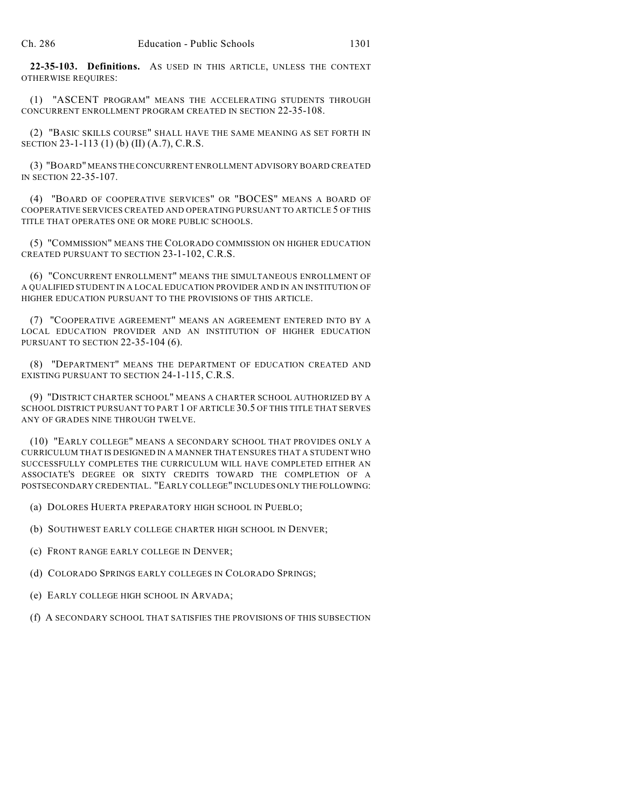**22-35-103. Definitions.** AS USED IN THIS ARTICLE, UNLESS THE CONTEXT OTHERWISE REQUIRES:

(1) "ASCENT PROGRAM" MEANS THE ACCELERATING STUDENTS THROUGH CONCURRENT ENROLLMENT PROGRAM CREATED IN SECTION 22-35-108.

(2) "BASIC SKILLS COURSE" SHALL HAVE THE SAME MEANING AS SET FORTH IN SECTION 23-1-113 (1) (b) (II) (A.7), C.R.S.

(3) "BOARD" MEANS THE CONCURRENT ENROLLMENT ADVISORY BOARD CREATED IN SECTION 22-35-107.

(4) "BOARD OF COOPERATIVE SERVICES" OR "BOCES" MEANS A BOARD OF COOPERATIVE SERVICES CREATED AND OPERATING PURSUANT TO ARTICLE 5 OF THIS TITLE THAT OPERATES ONE OR MORE PUBLIC SCHOOLS.

(5) "COMMISSION" MEANS THE COLORADO COMMISSION ON HIGHER EDUCATION CREATED PURSUANT TO SECTION 23-1-102, C.R.S.

(6) "CONCURRENT ENROLLMENT" MEANS THE SIMULTANEOUS ENROLLMENT OF A QUALIFIED STUDENT IN A LOCAL EDUCATION PROVIDER AND IN AN INSTITUTION OF HIGHER EDUCATION PURSUANT TO THE PROVISIONS OF THIS ARTICLE.

(7) "COOPERATIVE AGREEMENT" MEANS AN AGREEMENT ENTERED INTO BY A LOCAL EDUCATION PROVIDER AND AN INSTITUTION OF HIGHER EDUCATION PURSUANT TO SECTION 22-35-104 (6).

(8) "DEPARTMENT" MEANS THE DEPARTMENT OF EDUCATION CREATED AND EXISTING PURSUANT TO SECTION 24-1-115, C.R.S.

(9) "DISTRICT CHARTER SCHOOL" MEANS A CHARTER SCHOOL AUTHORIZED BY A SCHOOL DISTRICT PURSUANT TO PART 1 OF ARTICLE 30.5 OF THIS TITLE THAT SERVES ANY OF GRADES NINE THROUGH TWELVE.

(10) "EARLY COLLEGE" MEANS A SECONDARY SCHOOL THAT PROVIDES ONLY A CURRICULUM THAT IS DESIGNED IN A MANNER THAT ENSURES THAT A STUDENT WHO SUCCESSFULLY COMPLETES THE CURRICULUM WILL HAVE COMPLETED EITHER AN ASSOCIATE'S DEGREE OR SIXTY CREDITS TOWARD THE COMPLETION OF A POSTSECONDARY CREDENTIAL. "EARLY COLLEGE" INCLUDES ONLY THE FOLLOWING:

(a) DOLORES HUERTA PREPARATORY HIGH SCHOOL IN PUEBLO;

(b) SOUTHWEST EARLY COLLEGE CHARTER HIGH SCHOOL IN DENVER;

- (c) FRONT RANGE EARLY COLLEGE IN DENVER;
- (d) COLORADO SPRINGS EARLY COLLEGES IN COLORADO SPRINGS;
- (e) EARLY COLLEGE HIGH SCHOOL IN ARVADA;
- (f) A SECONDARY SCHOOL THAT SATISFIES THE PROVISIONS OF THIS SUBSECTION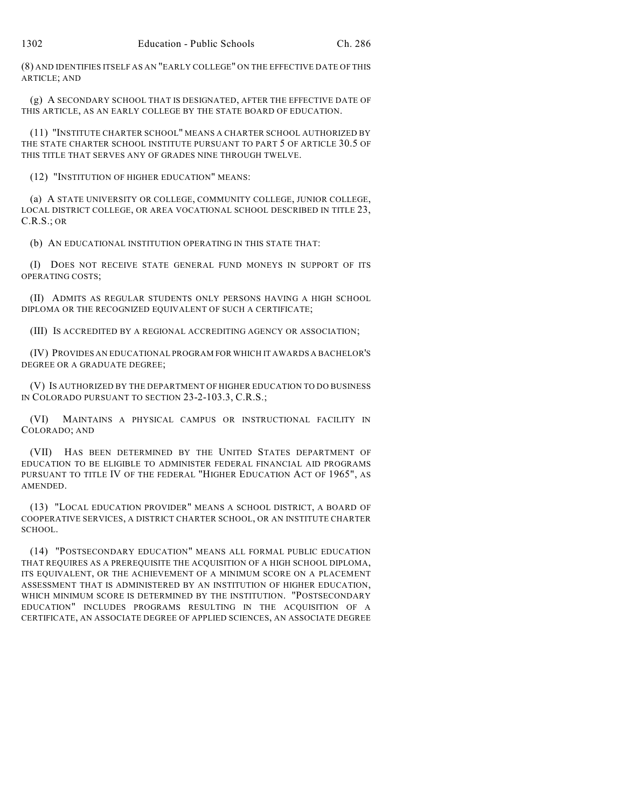(8) AND IDENTIFIES ITSELF AS AN "EARLY COLLEGE" ON THE EFFECTIVE DATE OF THIS ARTICLE; AND

(g) A SECONDARY SCHOOL THAT IS DESIGNATED, AFTER THE EFFECTIVE DATE OF THIS ARTICLE, AS AN EARLY COLLEGE BY THE STATE BOARD OF EDUCATION.

(11) "INSTITUTE CHARTER SCHOOL" MEANS A CHARTER SCHOOL AUTHORIZED BY THE STATE CHARTER SCHOOL INSTITUTE PURSUANT TO PART 5 OF ARTICLE 30.5 OF THIS TITLE THAT SERVES ANY OF GRADES NINE THROUGH TWELVE.

(12) "INSTITUTION OF HIGHER EDUCATION" MEANS:

(a) A STATE UNIVERSITY OR COLLEGE, COMMUNITY COLLEGE, JUNIOR COLLEGE, LOCAL DISTRICT COLLEGE, OR AREA VOCATIONAL SCHOOL DESCRIBED IN TITLE 23, C.R.S.; OR

(b) AN EDUCATIONAL INSTITUTION OPERATING IN THIS STATE THAT:

(I) DOES NOT RECEIVE STATE GENERAL FUND MONEYS IN SUPPORT OF ITS OPERATING COSTS;

(II) ADMITS AS REGULAR STUDENTS ONLY PERSONS HAVING A HIGH SCHOOL DIPLOMA OR THE RECOGNIZED EQUIVALENT OF SUCH A CERTIFICATE;

(III) IS ACCREDITED BY A REGIONAL ACCREDITING AGENCY OR ASSOCIATION;

(IV) PROVIDES AN EDUCATIONAL PROGRAM FOR WHICH IT AWARDS A BACHELOR'S DEGREE OR A GRADUATE DEGREE;

(V) IS AUTHORIZED BY THE DEPARTMENT OF HIGHER EDUCATION TO DO BUSINESS IN COLORADO PURSUANT TO SECTION 23-2-103.3, C.R.S.;

(VI) MAINTAINS A PHYSICAL CAMPUS OR INSTRUCTIONAL FACILITY IN COLORADO; AND

(VII) HAS BEEN DETERMINED BY THE UNITED STATES DEPARTMENT OF EDUCATION TO BE ELIGIBLE TO ADMINISTER FEDERAL FINANCIAL AID PROGRAMS PURSUANT TO TITLE IV OF THE FEDERAL "HIGHER EDUCATION ACT OF 1965", AS AMENDED.

(13) "LOCAL EDUCATION PROVIDER" MEANS A SCHOOL DISTRICT, A BOARD OF COOPERATIVE SERVICES, A DISTRICT CHARTER SCHOOL, OR AN INSTITUTE CHARTER SCHOOL.

(14) "POSTSECONDARY EDUCATION" MEANS ALL FORMAL PUBLIC EDUCATION THAT REQUIRES AS A PREREQUISITE THE ACQUISITION OF A HIGH SCHOOL DIPLOMA, ITS EQUIVALENT, OR THE ACHIEVEMENT OF A MINIMUM SCORE ON A PLACEMENT ASSESSMENT THAT IS ADMINISTERED BY AN INSTITUTION OF HIGHER EDUCATION, WHICH MINIMUM SCORE IS DETERMINED BY THE INSTITUTION. "POSTSECONDARY EDUCATION" INCLUDES PROGRAMS RESULTING IN THE ACQUISITION OF A CERTIFICATE, AN ASSOCIATE DEGREE OF APPLIED SCIENCES, AN ASSOCIATE DEGREE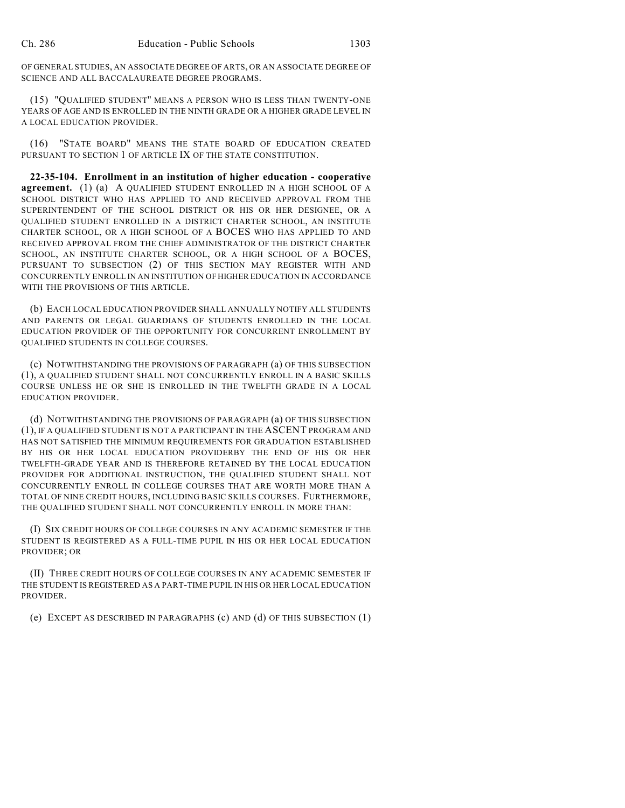OF GENERAL STUDIES, AN ASSOCIATE DEGREE OF ARTS, OR AN ASSOCIATE DEGREE OF SCIENCE AND ALL BACCALAUREATE DEGREE PROGRAMS.

(15) "QUALIFIED STUDENT" MEANS A PERSON WHO IS LESS THAN TWENTY-ONE YEARS OF AGE AND IS ENROLLED IN THE NINTH GRADE OR A HIGHER GRADE LEVEL IN A LOCAL EDUCATION PROVIDER.

(16) "STATE BOARD" MEANS THE STATE BOARD OF EDUCATION CREATED PURSUANT TO SECTION 1 OF ARTICLE IX OF THE STATE CONSTITUTION.

**22-35-104. Enrollment in an institution of higher education - cooperative agreement.** (1) (a) A QUALIFIED STUDENT ENROLLED IN A HIGH SCHOOL OF A SCHOOL DISTRICT WHO HAS APPLIED TO AND RECEIVED APPROVAL FROM THE SUPERINTENDENT OF THE SCHOOL DISTRICT OR HIS OR HER DESIGNEE, OR A QUALIFIED STUDENT ENROLLED IN A DISTRICT CHARTER SCHOOL, AN INSTITUTE CHARTER SCHOOL, OR A HIGH SCHOOL OF A BOCES WHO HAS APPLIED TO AND RECEIVED APPROVAL FROM THE CHIEF ADMINISTRATOR OF THE DISTRICT CHARTER SCHOOL, AN INSTITUTE CHARTER SCHOOL, OR A HIGH SCHOOL OF A BOCES, PURSUANT TO SUBSECTION (2) OF THIS SECTION MAY REGISTER WITH AND CONCURRENTLY ENROLL IN AN INSTITUTION OF HIGHER EDUCATION IN ACCORDANCE WITH THE PROVISIONS OF THIS ARTICLE.

(b) EACH LOCAL EDUCATION PROVIDER SHALL ANNUALLY NOTIFY ALL STUDENTS AND PARENTS OR LEGAL GUARDIANS OF STUDENTS ENROLLED IN THE LOCAL EDUCATION PROVIDER OF THE OPPORTUNITY FOR CONCURRENT ENROLLMENT BY QUALIFIED STUDENTS IN COLLEGE COURSES.

(c) NOTWITHSTANDING THE PROVISIONS OF PARAGRAPH (a) OF THIS SUBSECTION (1), A QUALIFIED STUDENT SHALL NOT CONCURRENTLY ENROLL IN A BASIC SKILLS COURSE UNLESS HE OR SHE IS ENROLLED IN THE TWELFTH GRADE IN A LOCAL EDUCATION PROVIDER.

(d) NOTWITHSTANDING THE PROVISIONS OF PARAGRAPH (a) OF THIS SUBSECTION (1), IF A QUALIFIED STUDENT IS NOT A PARTICIPANT IN THE ASCENT PROGRAM AND HAS NOT SATISFIED THE MINIMUM REQUIREMENTS FOR GRADUATION ESTABLISHED BY HIS OR HER LOCAL EDUCATION PROVIDERBY THE END OF HIS OR HER TWELFTH-GRADE YEAR AND IS THEREFORE RETAINED BY THE LOCAL EDUCATION PROVIDER FOR ADDITIONAL INSTRUCTION, THE QUALIFIED STUDENT SHALL NOT CONCURRENTLY ENROLL IN COLLEGE COURSES THAT ARE WORTH MORE THAN A TOTAL OF NINE CREDIT HOURS, INCLUDING BASIC SKILLS COURSES. FURTHERMORE, THE QUALIFIED STUDENT SHALL NOT CONCURRENTLY ENROLL IN MORE THAN:

(I) SIX CREDIT HOURS OF COLLEGE COURSES IN ANY ACADEMIC SEMESTER IF THE STUDENT IS REGISTERED AS A FULL-TIME PUPIL IN HIS OR HER LOCAL EDUCATION PROVIDER; OR

(II) THREE CREDIT HOURS OF COLLEGE COURSES IN ANY ACADEMIC SEMESTER IF THE STUDENT IS REGISTERED AS A PART-TIME PUPIL IN HIS OR HER LOCAL EDUCATION PROVIDER.

(e) EXCEPT AS DESCRIBED IN PARAGRAPHS (c) AND (d) OF THIS SUBSECTION (1)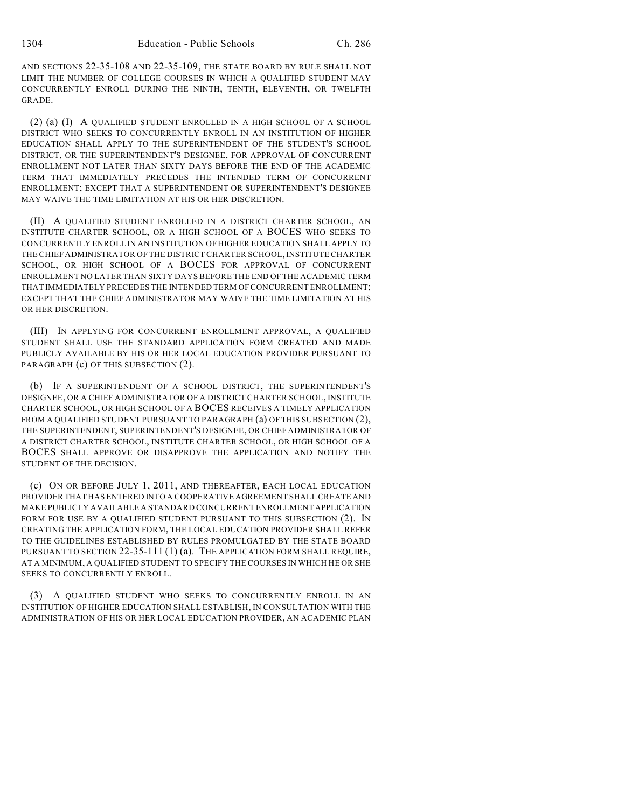AND SECTIONS 22-35-108 AND 22-35-109, THE STATE BOARD BY RULE SHALL NOT LIMIT THE NUMBER OF COLLEGE COURSES IN WHICH A QUALIFIED STUDENT MAY CONCURRENTLY ENROLL DURING THE NINTH, TENTH, ELEVENTH, OR TWELFTH GRADE.

(2) (a) (I) A QUALIFIED STUDENT ENROLLED IN A HIGH SCHOOL OF A SCHOOL DISTRICT WHO SEEKS TO CONCURRENTLY ENROLL IN AN INSTITUTION OF HIGHER EDUCATION SHALL APPLY TO THE SUPERINTENDENT OF THE STUDENT'S SCHOOL DISTRICT, OR THE SUPERINTENDENT'S DESIGNEE, FOR APPROVAL OF CONCURRENT ENROLLMENT NOT LATER THAN SIXTY DAYS BEFORE THE END OF THE ACADEMIC TERM THAT IMMEDIATELY PRECEDES THE INTENDED TERM OF CONCURRENT ENROLLMENT; EXCEPT THAT A SUPERINTENDENT OR SUPERINTENDENT'S DESIGNEE MAY WAIVE THE TIME LIMITATION AT HIS OR HER DISCRETION.

(II) A QUALIFIED STUDENT ENROLLED IN A DISTRICT CHARTER SCHOOL, AN INSTITUTE CHARTER SCHOOL, OR A HIGH SCHOOL OF A BOCES WHO SEEKS TO CONCURRENTLY ENROLL IN AN INSTITUTION OF HIGHER EDUCATION SHALL APPLY TO THE CHIEFADMINISTRATOR OFTHE DISTRICT CHARTER SCHOOL, INSTITUTE CHARTER SCHOOL, OR HIGH SCHOOL OF A BOCES FOR APPROVAL OF CONCURRENT ENROLLMENT NO LATER THAN SIXTY DAYS BEFORE THE END OF THE ACADEMIC TERM THAT IMMEDIATELY PRECEDES THE INTENDED TERM OF CONCURRENT ENROLLMENT; EXCEPT THAT THE CHIEF ADMINISTRATOR MAY WAIVE THE TIME LIMITATION AT HIS OR HER DISCRETION.

(III) IN APPLYING FOR CONCURRENT ENROLLMENT APPROVAL, A QUALIFIED STUDENT SHALL USE THE STANDARD APPLICATION FORM CREATED AND MADE PUBLICLY AVAILABLE BY HIS OR HER LOCAL EDUCATION PROVIDER PURSUANT TO PARAGRAPH (c) OF THIS SUBSECTION (2).

(b) IF A SUPERINTENDENT OF A SCHOOL DISTRICT, THE SUPERINTENDENT'S DESIGNEE, OR A CHIEF ADMINISTRATOR OF A DISTRICT CHARTER SCHOOL, INSTITUTE CHARTER SCHOOL, OR HIGH SCHOOL OF A BOCES RECEIVES A TIMELY APPLICATION FROM A QUALIFIED STUDENT PURSUANT TO PARAGRAPH (a) OF THIS SUBSECTION (2), THE SUPERINTENDENT, SUPERINTENDENT'S DESIGNEE, OR CHIEF ADMINISTRATOR OF A DISTRICT CHARTER SCHOOL, INSTITUTE CHARTER SCHOOL, OR HIGH SCHOOL OF A BOCES SHALL APPROVE OR DISAPPROVE THE APPLICATION AND NOTIFY THE STUDENT OF THE DECISION.

(c) ON OR BEFORE JULY 1, 2011, AND THEREAFTER, EACH LOCAL EDUCATION PROVIDER THAT HAS ENTERED INTO A COOPERATIVE AGREEMENT SHALL CREATE AND MAKE PUBLICLY AVAILABLE A STANDARD CONCURRENT ENROLLMENT APPLICATION FORM FOR USE BY A QUALIFIED STUDENT PURSUANT TO THIS SUBSECTION (2). IN CREATING THE APPLICATION FORM, THE LOCAL EDUCATION PROVIDER SHALL REFER TO THE GUIDELINES ESTABLISHED BY RULES PROMULGATED BY THE STATE BOARD PURSUANT TO SECTION 22-35-111 (1) (a). THE APPLICATION FORM SHALL REQUIRE, AT A MINIMUM, A QUALIFIED STUDENT TO SPECIFY THE COURSES IN WHICH HE OR SHE SEEKS TO CONCURRENTLY ENROLL.

(3) A QUALIFIED STUDENT WHO SEEKS TO CONCURRENTLY ENROLL IN AN INSTITUTION OF HIGHER EDUCATION SHALL ESTABLISH, IN CONSULTATION WITH THE ADMINISTRATION OF HIS OR HER LOCAL EDUCATION PROVIDER, AN ACADEMIC PLAN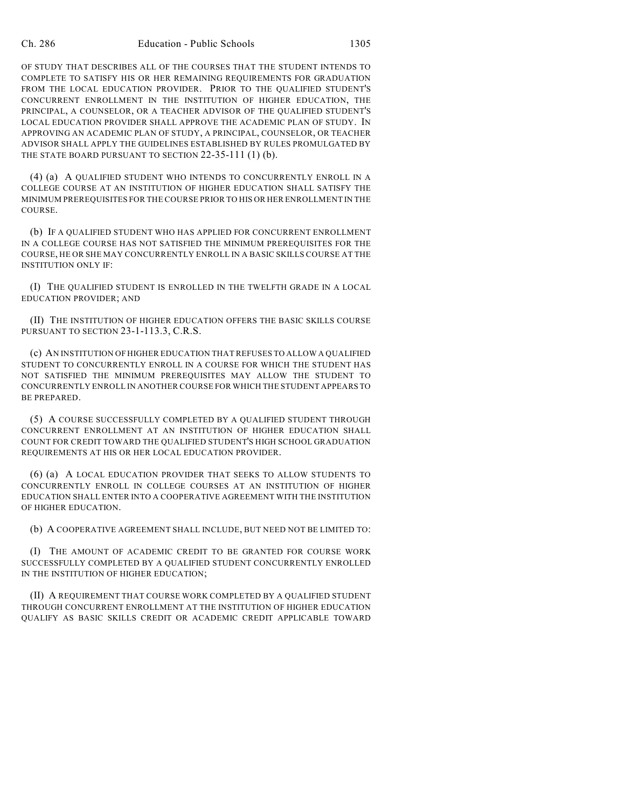OF STUDY THAT DESCRIBES ALL OF THE COURSES THAT THE STUDENT INTENDS TO COMPLETE TO SATISFY HIS OR HER REMAINING REQUIREMENTS FOR GRADUATION FROM THE LOCAL EDUCATION PROVIDER. PRIOR TO THE QUALIFIED STUDENT'S CONCURRENT ENROLLMENT IN THE INSTITUTION OF HIGHER EDUCATION, THE PRINCIPAL, A COUNSELOR, OR A TEACHER ADVISOR OF THE QUALIFIED STUDENT'S LOCAL EDUCATION PROVIDER SHALL APPROVE THE ACADEMIC PLAN OF STUDY. IN APPROVING AN ACADEMIC PLAN OF STUDY, A PRINCIPAL, COUNSELOR, OR TEACHER ADVISOR SHALL APPLY THE GUIDELINES ESTABLISHED BY RULES PROMULGATED BY THE STATE BOARD PURSUANT TO SECTION 22-35-111 (1) (b).

(4) (a) A QUALIFIED STUDENT WHO INTENDS TO CONCURRENTLY ENROLL IN A COLLEGE COURSE AT AN INSTITUTION OF HIGHER EDUCATION SHALL SATISFY THE MINIMUM PREREQUISITES FOR THE COURSE PRIOR TO HIS OR HER ENROLLMENT IN THE COURSE.

(b) IF A QUALIFIED STUDENT WHO HAS APPLIED FOR CONCURRENT ENROLLMENT IN A COLLEGE COURSE HAS NOT SATISFIED THE MINIMUM PREREQUISITES FOR THE COURSE, HE OR SHE MAY CONCURRENTLY ENROLL IN A BASIC SKILLS COURSE AT THE INSTITUTION ONLY IF:

(I) THE QUALIFIED STUDENT IS ENROLLED IN THE TWELFTH GRADE IN A LOCAL EDUCATION PROVIDER; AND

(II) THE INSTITUTION OF HIGHER EDUCATION OFFERS THE BASIC SKILLS COURSE PURSUANT TO SECTION 23-1-113.3, C.R.S.

(c) AN INSTITUTION OF HIGHER EDUCATION THAT REFUSES TO ALLOW A QUALIFIED STUDENT TO CONCURRENTLY ENROLL IN A COURSE FOR WHICH THE STUDENT HAS NOT SATISFIED THE MINIMUM PREREQUISITES MAY ALLOW THE STUDENT TO CONCURRENTLY ENROLL IN ANOTHER COURSE FOR WHICH THE STUDENT APPEARS TO BE PREPARED.

(5) A COURSE SUCCESSFULLY COMPLETED BY A QUALIFIED STUDENT THROUGH CONCURRENT ENROLLMENT AT AN INSTITUTION OF HIGHER EDUCATION SHALL COUNT FOR CREDIT TOWARD THE QUALIFIED STUDENT'S HIGH SCHOOL GRADUATION REQUIREMENTS AT HIS OR HER LOCAL EDUCATION PROVIDER.

(6) (a) A LOCAL EDUCATION PROVIDER THAT SEEKS TO ALLOW STUDENTS TO CONCURRENTLY ENROLL IN COLLEGE COURSES AT AN INSTITUTION OF HIGHER EDUCATION SHALL ENTER INTO A COOPERATIVE AGREEMENT WITH THE INSTITUTION OF HIGHER EDUCATION.

(b) A COOPERATIVE AGREEMENT SHALL INCLUDE, BUT NEED NOT BE LIMITED TO:

(I) THE AMOUNT OF ACADEMIC CREDIT TO BE GRANTED FOR COURSE WORK SUCCESSFULLY COMPLETED BY A QUALIFIED STUDENT CONCURRENTLY ENROLLED IN THE INSTITUTION OF HIGHER EDUCATION;

(II) A REQUIREMENT THAT COURSE WORK COMPLETED BY A QUALIFIED STUDENT THROUGH CONCURRENT ENROLLMENT AT THE INSTITUTION OF HIGHER EDUCATION QUALIFY AS BASIC SKILLS CREDIT OR ACADEMIC CREDIT APPLICABLE TOWARD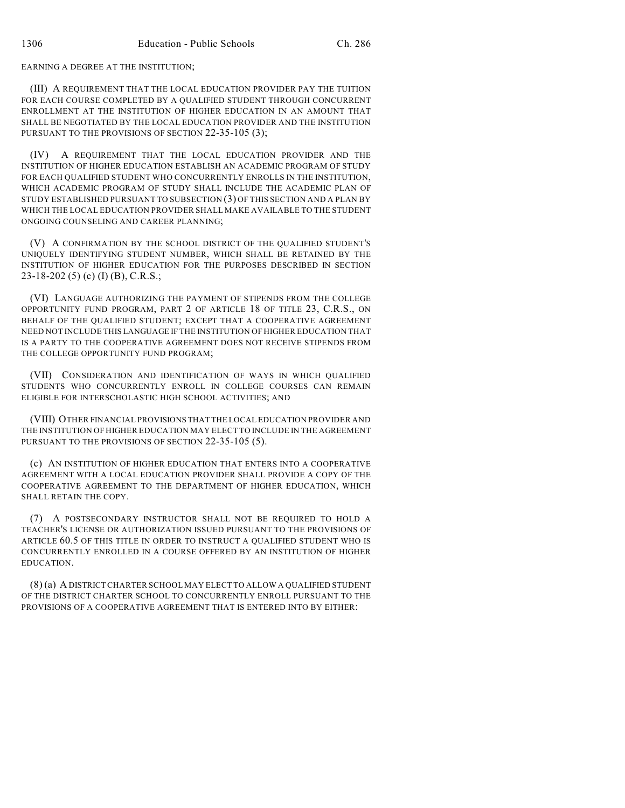#### EARNING A DEGREE AT THE INSTITUTION;

(III) A REQUIREMENT THAT THE LOCAL EDUCATION PROVIDER PAY THE TUITION FOR EACH COURSE COMPLETED BY A QUALIFIED STUDENT THROUGH CONCURRENT ENROLLMENT AT THE INSTITUTION OF HIGHER EDUCATION IN AN AMOUNT THAT SHALL BE NEGOTIATED BY THE LOCAL EDUCATION PROVIDER AND THE INSTITUTION PURSUANT TO THE PROVISIONS OF SECTION 22-35-105 (3);

(IV) A REQUIREMENT THAT THE LOCAL EDUCATION PROVIDER AND THE INSTITUTION OF HIGHER EDUCATION ESTABLISH AN ACADEMIC PROGRAM OF STUDY FOR EACH QUALIFIED STUDENT WHO CONCURRENTLY ENROLLS IN THE INSTITUTION, WHICH ACADEMIC PROGRAM OF STUDY SHALL INCLUDE THE ACADEMIC PLAN OF STUDY ESTABLISHED PURSUANT TO SUBSECTION (3) OF THIS SECTION AND A PLAN BY WHICH THE LOCAL EDUCATION PROVIDER SHALL MAKE AVAILABLE TO THE STUDENT ONGOING COUNSELING AND CAREER PLANNING;

(V) A CONFIRMATION BY THE SCHOOL DISTRICT OF THE QUALIFIED STUDENT'S UNIQUELY IDENTIFYING STUDENT NUMBER, WHICH SHALL BE RETAINED BY THE INSTITUTION OF HIGHER EDUCATION FOR THE PURPOSES DESCRIBED IN SECTION 23-18-202 (5) (c) (I) (B), C.R.S.;

(VI) LANGUAGE AUTHORIZING THE PAYMENT OF STIPENDS FROM THE COLLEGE OPPORTUNITY FUND PROGRAM, PART 2 OF ARTICLE 18 OF TITLE 23, C.R.S., ON BEHALF OF THE QUALIFIED STUDENT; EXCEPT THAT A COOPERATIVE AGREEMENT NEED NOT INCLUDE THIS LANGUAGE IF THE INSTITUTION OF HIGHER EDUCATION THAT IS A PARTY TO THE COOPERATIVE AGREEMENT DOES NOT RECEIVE STIPENDS FROM THE COLLEGE OPPORTUNITY FUND PROGRAM;

(VII) CONSIDERATION AND IDENTIFICATION OF WAYS IN WHICH QUALIFIED STUDENTS WHO CONCURRENTLY ENROLL IN COLLEGE COURSES CAN REMAIN ELIGIBLE FOR INTERSCHOLASTIC HIGH SCHOOL ACTIVITIES; AND

(VIII) OTHER FINANCIAL PROVISIONS THAT THE LOCAL EDUCATION PROVIDER AND THE INSTITUTION OF HIGHER EDUCATION MAY ELECT TO INCLUDE IN THE AGREEMENT PURSUANT TO THE PROVISIONS OF SECTION 22-35-105 (5).

(c) AN INSTITUTION OF HIGHER EDUCATION THAT ENTERS INTO A COOPERATIVE AGREEMENT WITH A LOCAL EDUCATION PROVIDER SHALL PROVIDE A COPY OF THE COOPERATIVE AGREEMENT TO THE DEPARTMENT OF HIGHER EDUCATION, WHICH SHALL RETAIN THE COPY.

(7) A POSTSECONDARY INSTRUCTOR SHALL NOT BE REQUIRED TO HOLD A TEACHER'S LICENSE OR AUTHORIZATION ISSUED PURSUANT TO THE PROVISIONS OF ARTICLE 60.5 OF THIS TITLE IN ORDER TO INSTRUCT A QUALIFIED STUDENT WHO IS CONCURRENTLY ENROLLED IN A COURSE OFFERED BY AN INSTITUTION OF HIGHER EDUCATION.

(8) (a) A DISTRICT CHARTER SCHOOL MAY ELECT TO ALLOW A QUALIFIED STUDENT OF THE DISTRICT CHARTER SCHOOL TO CONCURRENTLY ENROLL PURSUANT TO THE PROVISIONS OF A COOPERATIVE AGREEMENT THAT IS ENTERED INTO BY EITHER: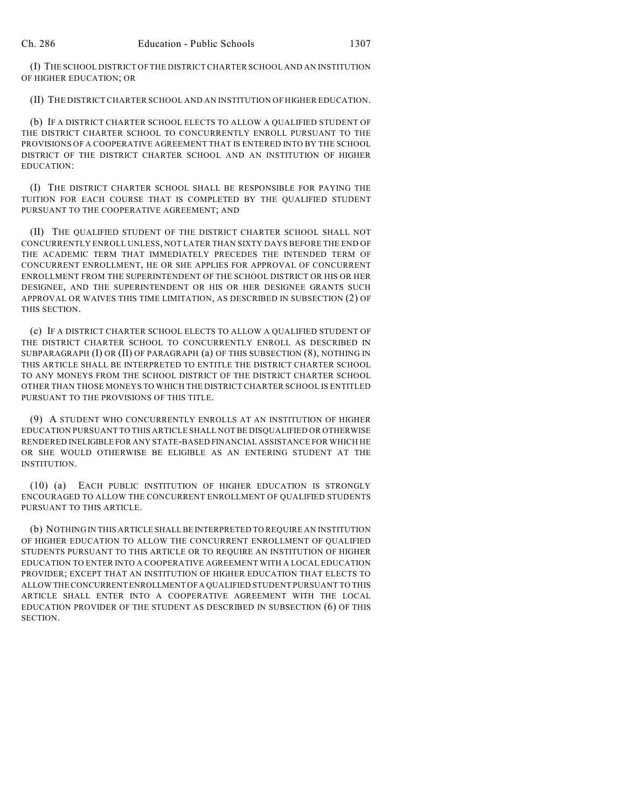(I) THE SCHOOL DISTRICT OF THE DISTRICT CHARTER SCHOOL AND AN INSTITUTION OF HIGHER EDUCATION; OR

(II) THE DISTRICT CHARTER SCHOOL AND AN INSTITUTION OF HIGHER EDUCATION.

(b) IF A DISTRICT CHARTER SCHOOL ELECTS TO ALLOW A QUALIFIED STUDENT OF THE DISTRICT CHARTER SCHOOL TO CONCURRENTLY ENROLL PURSUANT TO THE PROVISIONS OF A COOPERATIVE AGREEMENT THAT IS ENTERED INTO BY THE SCHOOL DISTRICT OF THE DISTRICT CHARTER SCHOOL AND AN INSTITUTION OF HIGHER EDUCATION:

(I) THE DISTRICT CHARTER SCHOOL SHALL BE RESPONSIBLE FOR PAYING THE TUITION FOR EACH COURSE THAT IS COMPLETED BY THE QUALIFIED STUDENT PURSUANT TO THE COOPERATIVE AGREEMENT; AND

(II) THE QUALIFIED STUDENT OF THE DISTRICT CHARTER SCHOOL SHALL NOT CONCURRENTLY ENROLL UNLESS, NOT LATER THAN SIXTY DAYS BEFORE THE END OF THE ACADEMIC TERM THAT IMMEDIATELY PRECEDES THE INTENDED TERM OF CONCURRENT ENROLLMENT, HE OR SHE APPLIES FOR APPROVAL OF CONCURRENT ENROLLMENT FROM THE SUPERINTENDENT OF THE SCHOOL DISTRICT OR HIS OR HER DESIGNEE, AND THE SUPERINTENDENT OR HIS OR HER DESIGNEE GRANTS SUCH APPROVAL OR WAIVES THIS TIME LIMITATION, AS DESCRIBED IN SUBSECTION (2) OF THIS SECTION.

(c) IF A DISTRICT CHARTER SCHOOL ELECTS TO ALLOW A QUALIFIED STUDENT OF THE DISTRICT CHARTER SCHOOL TO CONCURRENTLY ENROLL AS DESCRIBED IN SUBPARAGRAPH (I) OR (II) OF PARAGRAPH (a) OF THIS SUBSECTION (8), NOTHING IN THIS ARTICLE SHALL BE INTERPRETED TO ENTITLE THE DISTRICT CHARTER SCHOOL TO ANY MONEYS FROM THE SCHOOL DISTRICT OF THE DISTRICT CHARTER SCHOOL OTHER THAN THOSE MONEYS TO WHICH THE DISTRICT CHARTER SCHOOL IS ENTITLED PURSUANT TO THE PROVISIONS OF THIS TITLE.

(9) A STUDENT WHO CONCURRENTLY ENROLLS AT AN INSTITUTION OF HIGHER EDUCATION PURSUANT TO THIS ARTICLE SHALL NOT BE DISQUALIFIED OR OTHERWISE RENDERED INELIGIBLE FOR ANY STATE-BASED FINANCIAL ASSISTANCE FOR WHICH HE OR SHE WOULD OTHERWISE BE ELIGIBLE AS AN ENTERING STUDENT AT THE INSTITUTION.

(10) (a) EACH PUBLIC INSTITUTION OF HIGHER EDUCATION IS STRONGLY ENCOURAGED TO ALLOW THE CONCURRENT ENROLLMENT OF QUALIFIED STUDENTS PURSUANT TO THIS ARTICLE.

(b) NOTHING IN THIS ARTICLE SHALL BE INTERPRETED TO REQUIRE AN INSTITUTION OF HIGHER EDUCATION TO ALLOW THE CONCURRENT ENROLLMENT OF QUALIFIED STUDENTS PURSUANT TO THIS ARTICLE OR TO REQUIRE AN INSTITUTION OF HIGHER EDUCATION TO ENTER INTO A COOPERATIVE AGREEMENT WITH A LOCAL EDUCATION PROVIDER; EXCEPT THAT AN INSTITUTION OF HIGHER EDUCATION THAT ELECTS TO ALLOW THE CONCURRENT ENROLLMENT OF A QUALIFIED STUDENT PURSUANT TO THIS ARTICLE SHALL ENTER INTO A COOPERATIVE AGREEMENT WITH THE LOCAL EDUCATION PROVIDER OF THE STUDENT AS DESCRIBED IN SUBSECTION (6) OF THIS SECTION.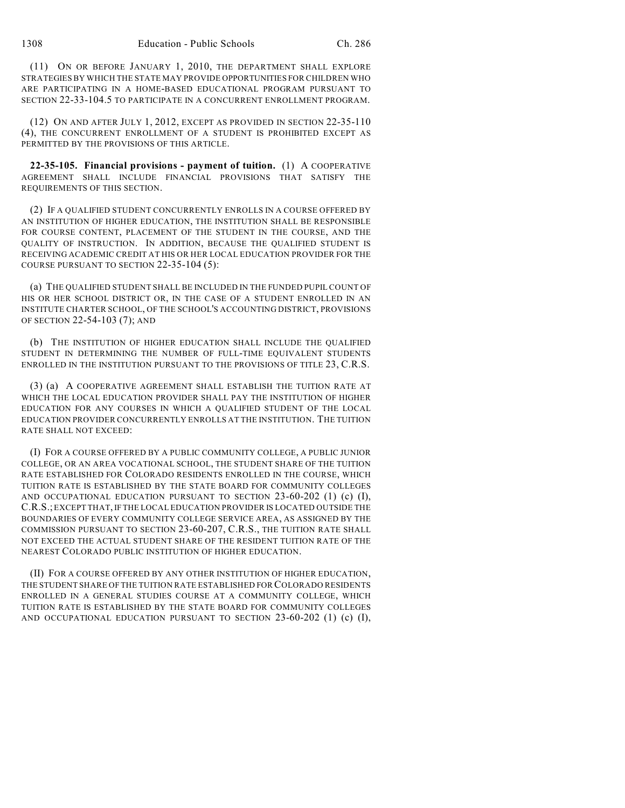(11) ON OR BEFORE JANUARY 1, 2010, THE DEPARTMENT SHALL EXPLORE STRATEGIES BY WHICH THE STATE MAY PROVIDE OPPORTUNITIES FOR CHILDREN WHO ARE PARTICIPATING IN A HOME-BASED EDUCATIONAL PROGRAM PURSUANT TO SECTION 22-33-104.5 TO PARTICIPATE IN A CONCURRENT ENROLLMENT PROGRAM.

(12) ON AND AFTER JULY 1, 2012, EXCEPT AS PROVIDED IN SECTION 22-35-110 (4), THE CONCURRENT ENROLLMENT OF A STUDENT IS PROHIBITED EXCEPT AS PERMITTED BY THE PROVISIONS OF THIS ARTICLE.

**22-35-105. Financial provisions - payment of tuition.** (1) A COOPERATIVE AGREEMENT SHALL INCLUDE FINANCIAL PROVISIONS THAT SATISFY THE REQUIREMENTS OF THIS SECTION.

(2) IF A QUALIFIED STUDENT CONCURRENTLY ENROLLS IN A COURSE OFFERED BY AN INSTITUTION OF HIGHER EDUCATION, THE INSTITUTION SHALL BE RESPONSIBLE FOR COURSE CONTENT, PLACEMENT OF THE STUDENT IN THE COURSE, AND THE QUALITY OF INSTRUCTION. IN ADDITION, BECAUSE THE QUALIFIED STUDENT IS RECEIVING ACADEMIC CREDIT AT HIS OR HER LOCAL EDUCATION PROVIDER FOR THE COURSE PURSUANT TO SECTION 22-35-104 (5):

(a) THE QUALIFIED STUDENT SHALL BE INCLUDED IN THE FUNDED PUPIL COUNT OF HIS OR HER SCHOOL DISTRICT OR, IN THE CASE OF A STUDENT ENROLLED IN AN INSTITUTE CHARTER SCHOOL, OF THE SCHOOL'S ACCOUNTING DISTRICT, PROVISIONS OF SECTION 22-54-103 (7); AND

(b) THE INSTITUTION OF HIGHER EDUCATION SHALL INCLUDE THE QUALIFIED STUDENT IN DETERMINING THE NUMBER OF FULL-TIME EQUIVALENT STUDENTS ENROLLED IN THE INSTITUTION PURSUANT TO THE PROVISIONS OF TITLE 23, C.R.S.

(3) (a) A COOPERATIVE AGREEMENT SHALL ESTABLISH THE TUITION RATE AT WHICH THE LOCAL EDUCATION PROVIDER SHALL PAY THE INSTITUTION OF HIGHER EDUCATION FOR ANY COURSES IN WHICH A QUALIFIED STUDENT OF THE LOCAL EDUCATION PROVIDER CONCURRENTLY ENROLLS AT THE INSTITUTION. THE TUITION RATE SHALL NOT EXCEED:

(I) FOR A COURSE OFFERED BY A PUBLIC COMMUNITY COLLEGE, A PUBLIC JUNIOR COLLEGE, OR AN AREA VOCATIONAL SCHOOL, THE STUDENT SHARE OF THE TUITION RATE ESTABLISHED FOR COLORADO RESIDENTS ENROLLED IN THE COURSE, WHICH TUITION RATE IS ESTABLISHED BY THE STATE BOARD FOR COMMUNITY COLLEGES AND OCCUPATIONAL EDUCATION PURSUANT TO SECTION  $23-60-202$  (1) (c) (I), C.R.S.; EXCEPT THAT, IFTHE LOCAL EDUCATION PROVIDER IS LOCATED OUTSIDE THE BOUNDARIES OF EVERY COMMUNITY COLLEGE SERVICE AREA, AS ASSIGNED BY THE COMMISSION PURSUANT TO SECTION 23-60-207, C.R.S., THE TUITION RATE SHALL NOT EXCEED THE ACTUAL STUDENT SHARE OF THE RESIDENT TUITION RATE OF THE NEAREST COLORADO PUBLIC INSTITUTION OF HIGHER EDUCATION.

(II) FOR A COURSE OFFERED BY ANY OTHER INSTITUTION OF HIGHER EDUCATION, THE STUDENT SHARE OF THE TUITION RATE ESTABLISHED FOR COLORADO RESIDENTS ENROLLED IN A GENERAL STUDIES COURSE AT A COMMUNITY COLLEGE, WHICH TUITION RATE IS ESTABLISHED BY THE STATE BOARD FOR COMMUNITY COLLEGES AND OCCUPATIONAL EDUCATION PURSUANT TO SECTION 23-60-202 (1) (c) (I),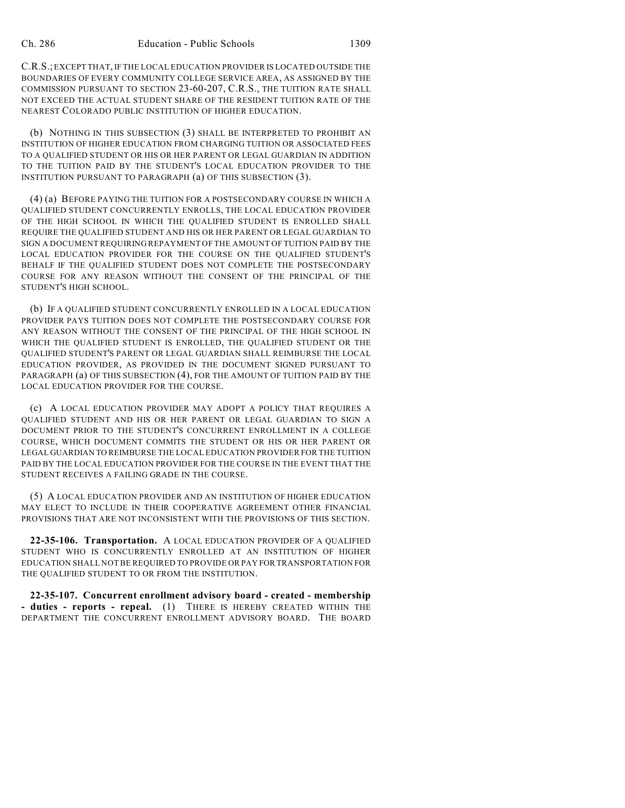C.R.S.; EXCEPT THAT, IF THE LOCAL EDUCATION PROVIDER IS LOCATED OUTSIDE THE BOUNDARIES OF EVERY COMMUNITY COLLEGE SERVICE AREA, AS ASSIGNED BY THE COMMISSION PURSUANT TO SECTION 23-60-207, C.R.S., THE TUITION RATE SHALL NOT EXCEED THE ACTUAL STUDENT SHARE OF THE RESIDENT TUITION RATE OF THE NEAREST COLORADO PUBLIC INSTITUTION OF HIGHER EDUCATION.

(b) NOTHING IN THIS SUBSECTION (3) SHALL BE INTERPRETED TO PROHIBIT AN INSTITUTION OF HIGHER EDUCATION FROM CHARGING TUITION OR ASSOCIATED FEES TO A QUALIFIED STUDENT OR HIS OR HER PARENT OR LEGAL GUARDIAN IN ADDITION TO THE TUITION PAID BY THE STUDENT'S LOCAL EDUCATION PROVIDER TO THE INSTITUTION PURSUANT TO PARAGRAPH (a) OF THIS SUBSECTION (3).

(4) (a) BEFORE PAYING THE TUITION FOR A POSTSECONDARY COURSE IN WHICH A QUALIFIED STUDENT CONCURRENTLY ENROLLS, THE LOCAL EDUCATION PROVIDER OF THE HIGH SCHOOL IN WHICH THE QUALIFIED STUDENT IS ENROLLED SHALL REQUIRE THE QUALIFIED STUDENT AND HIS OR HER PARENT OR LEGAL GUARDIAN TO SIGN A DOCUMENT REQUIRING REPAYMENT OF THE AMOUNT OF TUITION PAID BY THE LOCAL EDUCATION PROVIDER FOR THE COURSE ON THE QUALIFIED STUDENT'S BEHALF IF THE QUALIFIED STUDENT DOES NOT COMPLETE THE POSTSECONDARY COURSE FOR ANY REASON WITHOUT THE CONSENT OF THE PRINCIPAL OF THE STUDENT'S HIGH SCHOOL.

(b) IF A QUALIFIED STUDENT CONCURRENTLY ENROLLED IN A LOCAL EDUCATION PROVIDER PAYS TUITION DOES NOT COMPLETE THE POSTSECONDARY COURSE FOR ANY REASON WITHOUT THE CONSENT OF THE PRINCIPAL OF THE HIGH SCHOOL IN WHICH THE QUALIFIED STUDENT IS ENROLLED, THE QUALIFIED STUDENT OR THE QUALIFIED STUDENT'S PARENT OR LEGAL GUARDIAN SHALL REIMBURSE THE LOCAL EDUCATION PROVIDER, AS PROVIDED IN THE DOCUMENT SIGNED PURSUANT TO PARAGRAPH (a) OF THIS SUBSECTION (4), FOR THE AMOUNT OF TUITION PAID BY THE LOCAL EDUCATION PROVIDER FOR THE COURSE.

(c) A LOCAL EDUCATION PROVIDER MAY ADOPT A POLICY THAT REQUIRES A QUALIFIED STUDENT AND HIS OR HER PARENT OR LEGAL GUARDIAN TO SIGN A DOCUMENT PRIOR TO THE STUDENT'S CONCURRENT ENROLLMENT IN A COLLEGE COURSE, WHICH DOCUMENT COMMITS THE STUDENT OR HIS OR HER PARENT OR LEGAL GUARDIAN TO REIMBURSE THE LOCAL EDUCATION PROVIDER FOR THE TUITION PAID BY THE LOCAL EDUCATION PROVIDER FOR THE COURSE IN THE EVENT THAT THE STUDENT RECEIVES A FAILING GRADE IN THE COURSE.

(5) A LOCAL EDUCATION PROVIDER AND AN INSTITUTION OF HIGHER EDUCATION MAY ELECT TO INCLUDE IN THEIR COOPERATIVE AGREEMENT OTHER FINANCIAL PROVISIONS THAT ARE NOT INCONSISTENT WITH THE PROVISIONS OF THIS SECTION.

**22-35-106. Transportation.** A LOCAL EDUCATION PROVIDER OF A QUALIFIED STUDENT WHO IS CONCURRENTLY ENROLLED AT AN INSTITUTION OF HIGHER EDUCATION SHALL NOT BE REQUIRED TO PROVIDE OR PAY FOR TRANSPORTATION FOR THE QUALIFIED STUDENT TO OR FROM THE INSTITUTION.

**22-35-107. Concurrent enrollment advisory board - created - membership - duties - reports - repeal.** (1) THERE IS HEREBY CREATED WITHIN THE DEPARTMENT THE CONCURRENT ENROLLMENT ADVISORY BOARD. THE BOARD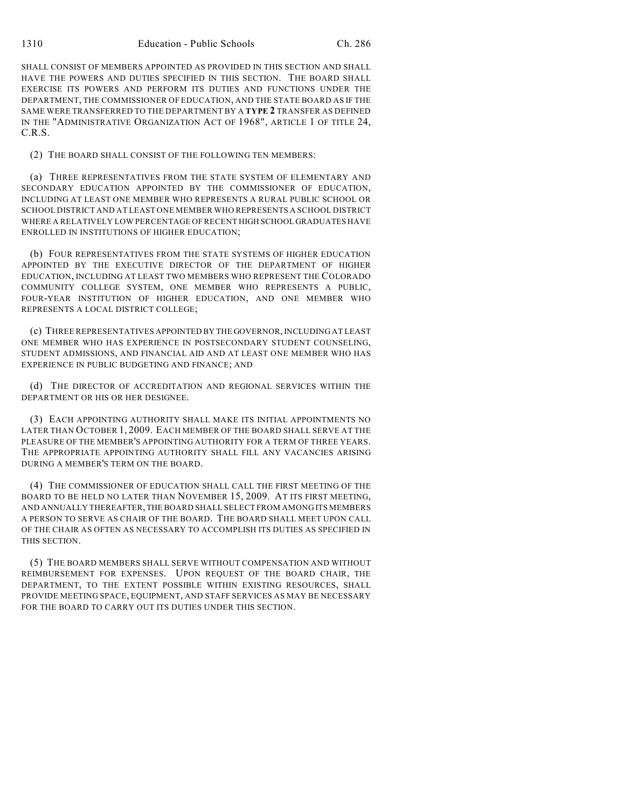SHALL CONSIST OF MEMBERS APPOINTED AS PROVIDED IN THIS SECTION AND SHALL HAVE THE POWERS AND DUTIES SPECIFIED IN THIS SECTION. THE BOARD SHALL EXERCISE ITS POWERS AND PERFORM ITS DUTIES AND FUNCTIONS UNDER THE DEPARTMENT, THE COMMISSIONER OF EDUCATION, AND THE STATE BOARD AS IF THE SAME WERE TRANSFERRED TO THE DEPARTMENT BY A **TYPE 2** TRANSFER AS DEFINED IN THE "ADMINISTRATIVE ORGANIZATION ACT OF 1968", ARTICLE 1 OF TITLE 24, C.R.S.

(2) THE BOARD SHALL CONSIST OF THE FOLLOWING TEN MEMBERS:

(a) THREE REPRESENTATIVES FROM THE STATE SYSTEM OF ELEMENTARY AND SECONDARY EDUCATION APPOINTED BY THE COMMISSIONER OF EDUCATION, INCLUDING AT LEAST ONE MEMBER WHO REPRESENTS A RURAL PUBLIC SCHOOL OR SCHOOL DISTRICT AND AT LEAST ONE MEMBER WHO REPRESENTS A SCHOOL DISTRICT WHERE A RELATIVELY LOW PERCENTAGE OF RECENT HIGH SCHOOL GRADUATES HAVE ENROLLED IN INSTITUTIONS OF HIGHER EDUCATION;

(b) FOUR REPRESENTATIVES FROM THE STATE SYSTEMS OF HIGHER EDUCATION APPOINTED BY THE EXECUTIVE DIRECTOR OF THE DEPARTMENT OF HIGHER EDUCATION, INCLUDING AT LEAST TWO MEMBERS WHO REPRESENT THE COLORADO COMMUNITY COLLEGE SYSTEM, ONE MEMBER WHO REPRESENTS A PUBLIC, FOUR-YEAR INSTITUTION OF HIGHER EDUCATION, AND ONE MEMBER WHO REPRESENTS A LOCAL DISTRICT COLLEGE;

(c) THREE REPRESENTATIVES APPOINTED BY THE GOVERNOR, INCLUDING AT LEAST ONE MEMBER WHO HAS EXPERIENCE IN POSTSECONDARY STUDENT COUNSELING, STUDENT ADMISSIONS, AND FINANCIAL AID AND AT LEAST ONE MEMBER WHO HAS EXPERIENCE IN PUBLIC BUDGETING AND FINANCE; AND

(d) THE DIRECTOR OF ACCREDITATION AND REGIONAL SERVICES WITHIN THE DEPARTMENT OR HIS OR HER DESIGNEE.

(3) EACH APPOINTING AUTHORITY SHALL MAKE ITS INITIAL APPOINTMENTS NO LATER THAN OCTOBER 1, 2009. EACH MEMBER OF THE BOARD SHALL SERVE AT THE PLEASURE OF THE MEMBER'S APPOINTING AUTHORITY FOR A TERM OF THREE YEARS. THE APPROPRIATE APPOINTING AUTHORITY SHALL FILL ANY VACANCIES ARISING DURING A MEMBER'S TERM ON THE BOARD.

(4) THE COMMISSIONER OF EDUCATION SHALL CALL THE FIRST MEETING OF THE BOARD TO BE HELD NO LATER THAN NOVEMBER 15, 2009. AT ITS FIRST MEETING, AND ANNUALLY THEREAFTER, THE BOARD SHALL SELECT FROM AMONG ITS MEMBERS A PERSON TO SERVE AS CHAIR OF THE BOARD. THE BOARD SHALL MEET UPON CALL OF THE CHAIR AS OFTEN AS NECESSARY TO ACCOMPLISH ITS DUTIES AS SPECIFIED IN THIS SECTION.

(5) THE BOARD MEMBERS SHALL SERVE WITHOUT COMPENSATION AND WITHOUT REIMBURSEMENT FOR EXPENSES. UPON REQUEST OF THE BOARD CHAIR, THE DEPARTMENT, TO THE EXTENT POSSIBLE WITHIN EXISTING RESOURCES, SHALL PROVIDE MEETING SPACE, EQUIPMENT, AND STAFF SERVICES AS MAY BE NECESSARY FOR THE BOARD TO CARRY OUT ITS DUTIES UNDER THIS SECTION.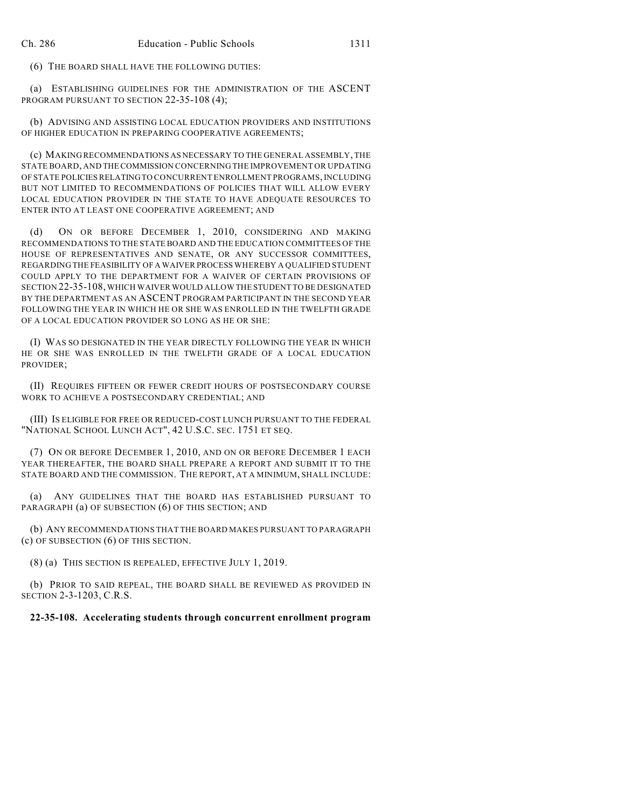(6) THE BOARD SHALL HAVE THE FOLLOWING DUTIES:

(a) ESTABLISHING GUIDELINES FOR THE ADMINISTRATION OF THE ASCENT PROGRAM PURSUANT TO SECTION 22-35-108 (4);

(b) ADVISING AND ASSISTING LOCAL EDUCATION PROVIDERS AND INSTITUTIONS OF HIGHER EDUCATION IN PREPARING COOPERATIVE AGREEMENTS;

(c) MAKING RECOMMENDATIONS AS NECESSARY TO THE GENERAL ASSEMBLY, THE STATE BOARD, AND THE COMMISSION CONCERNING THE IMPROVEMENT OR UPDATING OF STATE POLICIES RELATING TO CONCURRENT ENROLLMENT PROGRAMS, INCLUDING BUT NOT LIMITED TO RECOMMENDATIONS OF POLICIES THAT WILL ALLOW EVERY LOCAL EDUCATION PROVIDER IN THE STATE TO HAVE ADEQUATE RESOURCES TO ENTER INTO AT LEAST ONE COOPERATIVE AGREEMENT; AND

(d) ON OR BEFORE DECEMBER 1, 2010, CONSIDERING AND MAKING RECOMMENDATIONS TO THE STATE BOARD AND THE EDUCATION COMMITTEES OF THE HOUSE OF REPRESENTATIVES AND SENATE, OR ANY SUCCESSOR COMMITTEES, REGARDING THE FEASIBILITY OF A WAIVER PROCESS WHEREBY A QUALIFIED STUDENT COULD APPLY TO THE DEPARTMENT FOR A WAIVER OF CERTAIN PROVISIONS OF SECTION 22-35-108, WHICH WAIVER WOULD ALLOW THE STUDENT TO BE DESIGNATED BY THE DEPARTMENT AS AN ASCENT PROGRAM PARTICIPANT IN THE SECOND YEAR FOLLOWING THE YEAR IN WHICH HE OR SHE WAS ENROLLED IN THE TWELFTH GRADE OF A LOCAL EDUCATION PROVIDER SO LONG AS HE OR SHE:

(I) WAS SO DESIGNATED IN THE YEAR DIRECTLY FOLLOWING THE YEAR IN WHICH HE OR SHE WAS ENROLLED IN THE TWELFTH GRADE OF A LOCAL EDUCATION PROVIDER;

(II) REQUIRES FIFTEEN OR FEWER CREDIT HOURS OF POSTSECONDARY COURSE WORK TO ACHIEVE A POSTSECONDARY CREDENTIAL; AND

(III) IS ELIGIBLE FOR FREE OR REDUCED-COST LUNCH PURSUANT TO THE FEDERAL "NATIONAL SCHOOL LUNCH ACT", 42 U.S.C. SEC. 1751 ET SEQ.

(7) ON OR BEFORE DECEMBER 1, 2010, AND ON OR BEFORE DECEMBER 1 EACH YEAR THEREAFTER, THE BOARD SHALL PREPARE A REPORT AND SUBMIT IT TO THE STATE BOARD AND THE COMMISSION. THE REPORT, AT A MINIMUM, SHALL INCLUDE:

(a) ANY GUIDELINES THAT THE BOARD HAS ESTABLISHED PURSUANT TO PARAGRAPH (a) OF SUBSECTION (6) OF THIS SECTION; AND

(b) ANY RECOMMENDATIONS THAT THE BOARD MAKES PURSUANT TO PARAGRAPH (c) OF SUBSECTION (6) OF THIS SECTION.

(8) (a) THIS SECTION IS REPEALED, EFFECTIVE JULY 1, 2019.

(b) PRIOR TO SAID REPEAL, THE BOARD SHALL BE REVIEWED AS PROVIDED IN SECTION 2-3-1203, C.R.S.

### **22-35-108. Accelerating students through concurrent enrollment program**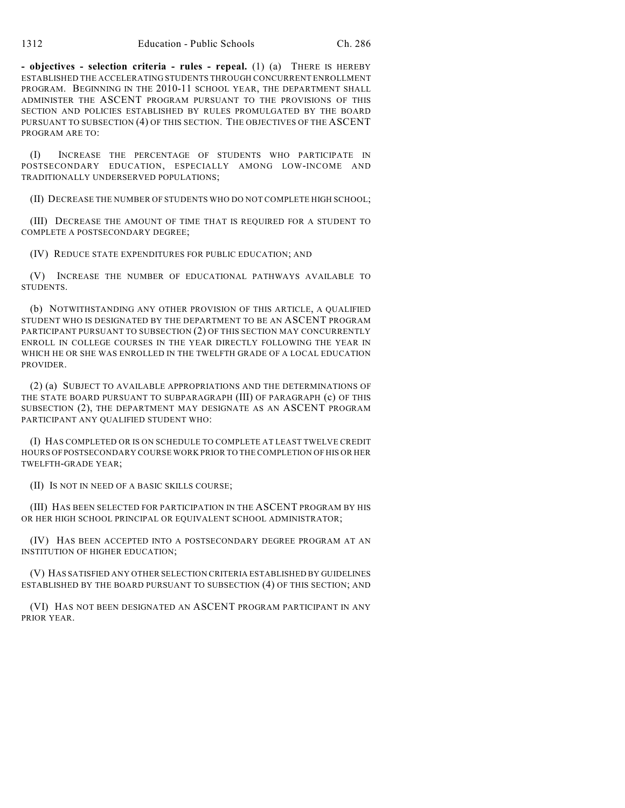**- objectives - selection criteria - rules - repeal.** (1) (a) THERE IS HEREBY ESTABLISHED THE ACCELERATING STUDENTS THROUGH CONCURRENT ENROLLMENT PROGRAM. BEGINNING IN THE 2010-11 SCHOOL YEAR, THE DEPARTMENT SHALL ADMINISTER THE ASCENT PROGRAM PURSUANT TO THE PROVISIONS OF THIS SECTION AND POLICIES ESTABLISHED BY RULES PROMULGATED BY THE BOARD PURSUANT TO SUBSECTION (4) OF THIS SECTION. THE OBJECTIVES OF THE ASCENT PROGRAM ARE TO:

(I) INCREASE THE PERCENTAGE OF STUDENTS WHO PARTICIPATE IN POSTSECONDARY EDUCATION, ESPECIALLY AMONG LOW-INCOME AND TRADITIONALLY UNDERSERVED POPULATIONS;

(II) DECREASE THE NUMBER OF STUDENTS WHO DO NOT COMPLETE HIGH SCHOOL;

(III) DECREASE THE AMOUNT OF TIME THAT IS REQUIRED FOR A STUDENT TO COMPLETE A POSTSECONDARY DEGREE;

(IV) REDUCE STATE EXPENDITURES FOR PUBLIC EDUCATION; AND

(V) INCREASE THE NUMBER OF EDUCATIONAL PATHWAYS AVAILABLE TO STUDENTS.

(b) NOTWITHSTANDING ANY OTHER PROVISION OF THIS ARTICLE, A QUALIFIED STUDENT WHO IS DESIGNATED BY THE DEPARTMENT TO BE AN ASCENT PROGRAM PARTICIPANT PURSUANT TO SUBSECTION (2) OF THIS SECTION MAY CONCURRENTLY ENROLL IN COLLEGE COURSES IN THE YEAR DIRECTLY FOLLOWING THE YEAR IN WHICH HE OR SHE WAS ENROLLED IN THE TWELFTH GRADE OF A LOCAL EDUCATION PROVIDER.

(2) (a) SUBJECT TO AVAILABLE APPROPRIATIONS AND THE DETERMINATIONS OF THE STATE BOARD PURSUANT TO SUBPARAGRAPH (III) OF PARAGRAPH (c) OF THIS SUBSECTION (2), THE DEPARTMENT MAY DESIGNATE AS AN ASCENT PROGRAM PARTICIPANT ANY QUALIFIED STUDENT WHO:

(I) HAS COMPLETED OR IS ON SCHEDULE TO COMPLETE AT LEAST TWELVE CREDIT HOURS OF POSTSECONDARY COURSE WORK PRIOR TO THE COMPLETION OF HIS OR HER TWELFTH-GRADE YEAR;

(II) IS NOT IN NEED OF A BASIC SKILLS COURSE;

(III) HAS BEEN SELECTED FOR PARTICIPATION IN THE ASCENT PROGRAM BY HIS OR HER HIGH SCHOOL PRINCIPAL OR EQUIVALENT SCHOOL ADMINISTRATOR;

(IV) HAS BEEN ACCEPTED INTO A POSTSECONDARY DEGREE PROGRAM AT AN INSTITUTION OF HIGHER EDUCATION;

(V) HAS SATISFIED ANY OTHER SELECTION CRITERIA ESTABLISHED BY GUIDELINES ESTABLISHED BY THE BOARD PURSUANT TO SUBSECTION (4) OF THIS SECTION; AND

(VI) HAS NOT BEEN DESIGNATED AN ASCENT PROGRAM PARTICIPANT IN ANY PRIOR YEAR.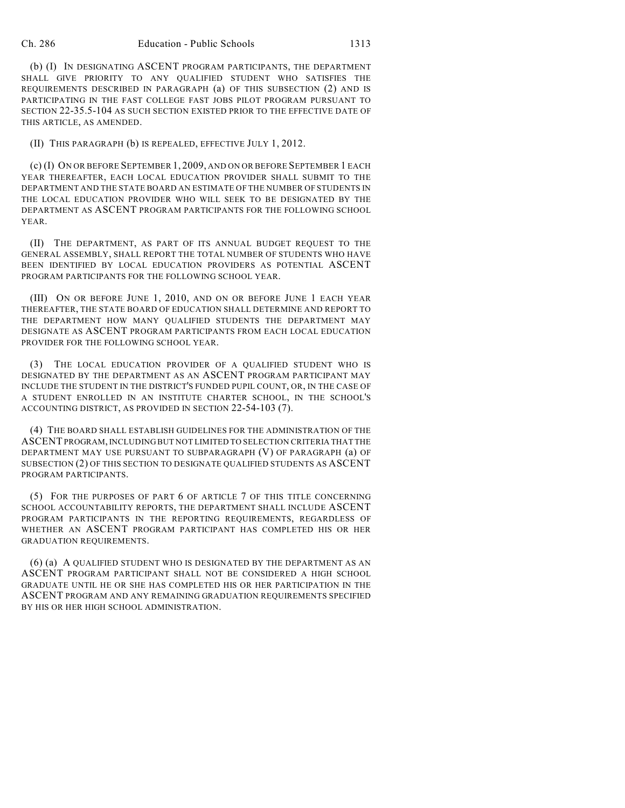(b) (I) IN DESIGNATING ASCENT PROGRAM PARTICIPANTS, THE DEPARTMENT SHALL GIVE PRIORITY TO ANY QUALIFIED STUDENT WHO SATISFIES THE REQUIREMENTS DESCRIBED IN PARAGRAPH (a) OF THIS SUBSECTION (2) AND IS PARTICIPATING IN THE FAST COLLEGE FAST JOBS PILOT PROGRAM PURSUANT TO SECTION 22-35.5-104 AS SUCH SECTION EXISTED PRIOR TO THE EFFECTIVE DATE OF THIS ARTICLE, AS AMENDED.

(II) THIS PARAGRAPH (b) IS REPEALED, EFFECTIVE JULY 1, 2012.

(c) (I) ON OR BEFORE SEPTEMBER 1, 2009, AND ON OR BEFORE SEPTEMBER 1 EACH YEAR THEREAFTER, EACH LOCAL EDUCATION PROVIDER SHALL SUBMIT TO THE DEPARTMENT AND THE STATE BOARD AN ESTIMATE OF THE NUMBER OF STUDENTS IN THE LOCAL EDUCATION PROVIDER WHO WILL SEEK TO BE DESIGNATED BY THE DEPARTMENT AS ASCENT PROGRAM PARTICIPANTS FOR THE FOLLOWING SCHOOL YEAR.

(II) THE DEPARTMENT, AS PART OF ITS ANNUAL BUDGET REQUEST TO THE GENERAL ASSEMBLY, SHALL REPORT THE TOTAL NUMBER OF STUDENTS WHO HAVE BEEN IDENTIFIED BY LOCAL EDUCATION PROVIDERS AS POTENTIAL ASCENT PROGRAM PARTICIPANTS FOR THE FOLLOWING SCHOOL YEAR.

(III) ON OR BEFORE JUNE 1, 2010, AND ON OR BEFORE JUNE 1 EACH YEAR THEREAFTER, THE STATE BOARD OF EDUCATION SHALL DETERMINE AND REPORT TO THE DEPARTMENT HOW MANY QUALIFIED STUDENTS THE DEPARTMENT MAY DESIGNATE AS ASCENT PROGRAM PARTICIPANTS FROM EACH LOCAL EDUCATION PROVIDER FOR THE FOLLOWING SCHOOL YEAR.

(3) THE LOCAL EDUCATION PROVIDER OF A QUALIFIED STUDENT WHO IS DESIGNATED BY THE DEPARTMENT AS AN ASCENT PROGRAM PARTICIPANT MAY INCLUDE THE STUDENT IN THE DISTRICT'S FUNDED PUPIL COUNT, OR, IN THE CASE OF A STUDENT ENROLLED IN AN INSTITUTE CHARTER SCHOOL, IN THE SCHOOL'S ACCOUNTING DISTRICT, AS PROVIDED IN SECTION 22-54-103 (7).

(4) THE BOARD SHALL ESTABLISH GUIDELINES FOR THE ADMINISTRATION OF THE ASCENT PROGRAM, INCLUDING BUT NOT LIMITED TO SELECTION CRITERIA THAT THE DEPARTMENT MAY USE PURSUANT TO SUBPARAGRAPH (V) OF PARAGRAPH (a) OF SUBSECTION (2) OF THIS SECTION TO DESIGNATE QUALIFIED STUDENTS AS ASCENT PROGRAM PARTICIPANTS.

(5) FOR THE PURPOSES OF PART 6 OF ARTICLE 7 OF THIS TITLE CONCERNING SCHOOL ACCOUNTABILITY REPORTS, THE DEPARTMENT SHALL INCLUDE ASCENT PROGRAM PARTICIPANTS IN THE REPORTING REQUIREMENTS, REGARDLESS OF WHETHER AN ASCENT PROGRAM PARTICIPANT HAS COMPLETED HIS OR HER GRADUATION REQUIREMENTS.

(6) (a) A QUALIFIED STUDENT WHO IS DESIGNATED BY THE DEPARTMENT AS AN ASCENT PROGRAM PARTICIPANT SHALL NOT BE CONSIDERED A HIGH SCHOOL GRADUATE UNTIL HE OR SHE HAS COMPLETED HIS OR HER PARTICIPATION IN THE ASCENT PROGRAM AND ANY REMAINING GRADUATION REQUIREMENTS SPECIFIED BY HIS OR HER HIGH SCHOOL ADMINISTRATION.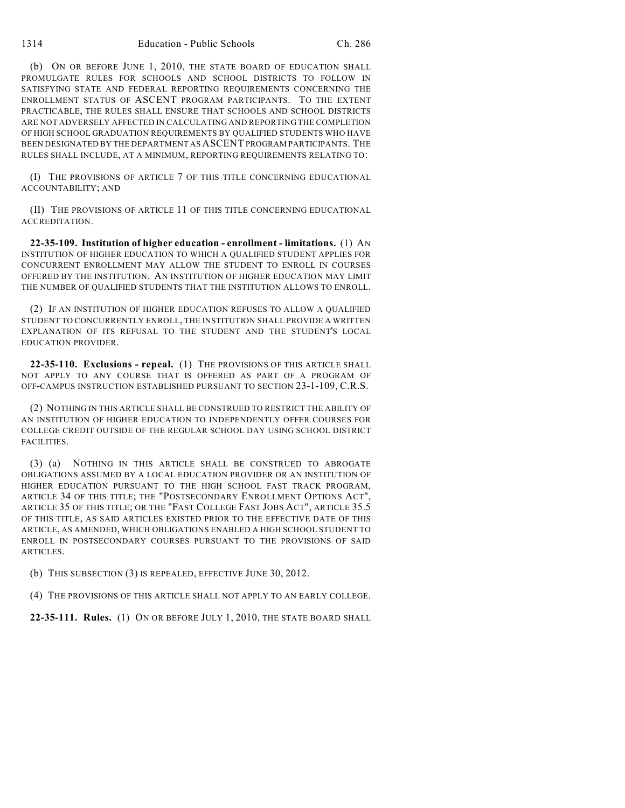(b) ON OR BEFORE JUNE 1, 2010, THE STATE BOARD OF EDUCATION SHALL PROMULGATE RULES FOR SCHOOLS AND SCHOOL DISTRICTS TO FOLLOW IN SATISFYING STATE AND FEDERAL REPORTING REQUIREMENTS CONCERNING THE ENROLLMENT STATUS OF ASCENT PROGRAM PARTICIPANTS. TO THE EXTENT PRACTICABLE, THE RULES SHALL ENSURE THAT SCHOOLS AND SCHOOL DISTRICTS ARE NOT ADVERSELY AFFECTED IN CALCULATING AND REPORTING THE COMPLETION OF HIGH SCHOOL GRADUATION REQUIREMENTS BY QUALIFIED STUDENTS WHO HAVE BEEN DESIGNATED BY THE DEPARTMENT AS ASCENT PROGRAM PARTICIPANTS. THE RULES SHALL INCLUDE, AT A MINIMUM, REPORTING REQUIREMENTS RELATING TO:

(I) THE PROVISIONS OF ARTICLE 7 OF THIS TITLE CONCERNING EDUCATIONAL ACCOUNTABILITY; AND

(II) THE PROVISIONS OF ARTICLE 11 OF THIS TITLE CONCERNING EDUCATIONAL ACCREDITATION.

**22-35-109. Institution of higher education - enrollment - limitations.** (1) AN INSTITUTION OF HIGHER EDUCATION TO WHICH A QUALIFIED STUDENT APPLIES FOR CONCURRENT ENROLLMENT MAY ALLOW THE STUDENT TO ENROLL IN COURSES OFFERED BY THE INSTITUTION. AN INSTITUTION OF HIGHER EDUCATION MAY LIMIT THE NUMBER OF QUALIFIED STUDENTS THAT THE INSTITUTION ALLOWS TO ENROLL.

(2) IF AN INSTITUTION OF HIGHER EDUCATION REFUSES TO ALLOW A QUALIFIED STUDENT TO CONCURRENTLY ENROLL, THE INSTITUTION SHALL PROVIDE A WRITTEN EXPLANATION OF ITS REFUSAL TO THE STUDENT AND THE STUDENT'S LOCAL EDUCATION PROVIDER.

**22-35-110. Exclusions - repeal.** (1) THE PROVISIONS OF THIS ARTICLE SHALL NOT APPLY TO ANY COURSE THAT IS OFFERED AS PART OF A PROGRAM OF OFF-CAMPUS INSTRUCTION ESTABLISHED PURSUANT TO SECTION 23-1-109, C.R.S.

(2) NOTHING IN THIS ARTICLE SHALL BE CONSTRUED TO RESTRICT THE ABILITY OF AN INSTITUTION OF HIGHER EDUCATION TO INDEPENDENTLY OFFER COURSES FOR COLLEGE CREDIT OUTSIDE OF THE REGULAR SCHOOL DAY USING SCHOOL DISTRICT FACILITIES.

(3) (a) NOTHING IN THIS ARTICLE SHALL BE CONSTRUED TO ABROGATE OBLIGATIONS ASSUMED BY A LOCAL EDUCATION PROVIDER OR AN INSTITUTION OF HIGHER EDUCATION PURSUANT TO THE HIGH SCHOOL FAST TRACK PROGRAM, ARTICLE 34 OF THIS TITLE; THE "POSTSECONDARY ENROLLMENT OPTIONS ACT" ARTICLE 35 OF THIS TITLE; OR THE "FAST COLLEGE FAST JOBS ACT", ARTICLE 35.5 OF THIS TITLE, AS SAID ARTICLES EXISTED PRIOR TO THE EFFECTIVE DATE OF THIS ARTICLE, AS AMENDED, WHICH OBLIGATIONS ENABLED A HIGH SCHOOL STUDENT TO ENROLL IN POSTSECONDARY COURSES PURSUANT TO THE PROVISIONS OF SAID ARTICLES.

(b) THIS SUBSECTION (3) IS REPEALED, EFFECTIVE JUNE 30, 2012.

(4) THE PROVISIONS OF THIS ARTICLE SHALL NOT APPLY TO AN EARLY COLLEGE.

**22-35-111. Rules.** (1) ON OR BEFORE JULY 1, 2010, THE STATE BOARD SHALL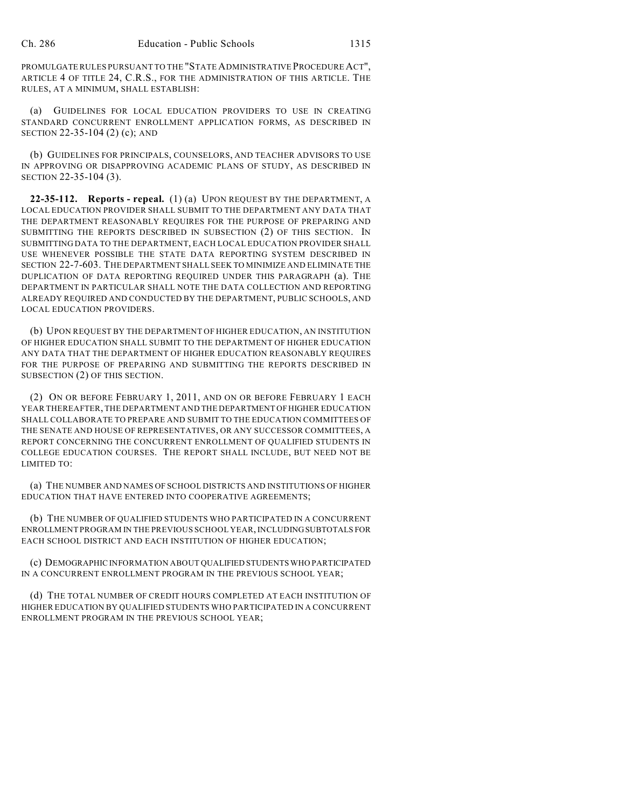PROMULGATE RULES PURSUANT TO THE "STATE ADMINISTRATIVE PROCEDURE ACT", ARTICLE 4 OF TITLE 24, C.R.S., FOR THE ADMINISTRATION OF THIS ARTICLE. THE RULES, AT A MINIMUM, SHALL ESTABLISH:

(a) GUIDELINES FOR LOCAL EDUCATION PROVIDERS TO USE IN CREATING STANDARD CONCURRENT ENROLLMENT APPLICATION FORMS, AS DESCRIBED IN SECTION 22-35-104 (2) (c); AND

(b) GUIDELINES FOR PRINCIPALS, COUNSELORS, AND TEACHER ADVISORS TO USE IN APPROVING OR DISAPPROVING ACADEMIC PLANS OF STUDY, AS DESCRIBED IN SECTION 22-35-104 (3).

**22-35-112. Reports - repeal.** (1) (a) UPON REQUEST BY THE DEPARTMENT, A LOCAL EDUCATION PROVIDER SHALL SUBMIT TO THE DEPARTMENT ANY DATA THAT THE DEPARTMENT REASONABLY REQUIRES FOR THE PURPOSE OF PREPARING AND SUBMITTING THE REPORTS DESCRIBED IN SUBSECTION (2) OF THIS SECTION. IN SUBMITTING DATA TO THE DEPARTMENT, EACH LOCAL EDUCATION PROVIDER SHALL USE WHENEVER POSSIBLE THE STATE DATA REPORTING SYSTEM DESCRIBED IN SECTION 22-7-603. THE DEPARTMENT SHALL SEEK TO MINIMIZE AND ELIMINATE THE DUPLICATION OF DATA REPORTING REQUIRED UNDER THIS PARAGRAPH (a). THE DEPARTMENT IN PARTICULAR SHALL NOTE THE DATA COLLECTION AND REPORTING ALREADY REQUIRED AND CONDUCTED BY THE DEPARTMENT, PUBLIC SCHOOLS, AND LOCAL EDUCATION PROVIDERS.

(b) UPON REQUEST BY THE DEPARTMENT OF HIGHER EDUCATION, AN INSTITUTION OF HIGHER EDUCATION SHALL SUBMIT TO THE DEPARTMENT OF HIGHER EDUCATION ANY DATA THAT THE DEPARTMENT OF HIGHER EDUCATION REASONABLY REQUIRES FOR THE PURPOSE OF PREPARING AND SUBMITTING THE REPORTS DESCRIBED IN SUBSECTION (2) OF THIS SECTION.

(2) ON OR BEFORE FEBRUARY 1, 2011, AND ON OR BEFORE FEBRUARY 1 EACH YEAR THEREAFTER, THE DEPARTMENT AND THE DEPARTMENT OF HIGHER EDUCATION SHALL COLLABORATE TO PREPARE AND SUBMIT TO THE EDUCATION COMMITTEES OF THE SENATE AND HOUSE OF REPRESENTATIVES, OR ANY SUCCESSOR COMMITTEES, A REPORT CONCERNING THE CONCURRENT ENROLLMENT OF QUALIFIED STUDENTS IN COLLEGE EDUCATION COURSES. THE REPORT SHALL INCLUDE, BUT NEED NOT BE LIMITED TO:

(a) THE NUMBER AND NAMES OF SCHOOL DISTRICTS AND INSTITUTIONS OF HIGHER EDUCATION THAT HAVE ENTERED INTO COOPERATIVE AGREEMENTS;

(b) THE NUMBER OF QUALIFIED STUDENTS WHO PARTICIPATED IN A CONCURRENT ENROLLMENT PROGRAM IN THE PREVIOUS SCHOOL YEAR, INCLUDING SUBTOTALS FOR EACH SCHOOL DISTRICT AND EACH INSTITUTION OF HIGHER EDUCATION;

(c) DEMOGRAPHIC INFORMATION ABOUT QUALIFIED STUDENTS WHO PARTICIPATED IN A CONCURRENT ENROLLMENT PROGRAM IN THE PREVIOUS SCHOOL YEAR;

(d) THE TOTAL NUMBER OF CREDIT HOURS COMPLETED AT EACH INSTITUTION OF HIGHER EDUCATION BY QUALIFIED STUDENTS WHO PARTICIPATED IN A CONCURRENT ENROLLMENT PROGRAM IN THE PREVIOUS SCHOOL YEAR;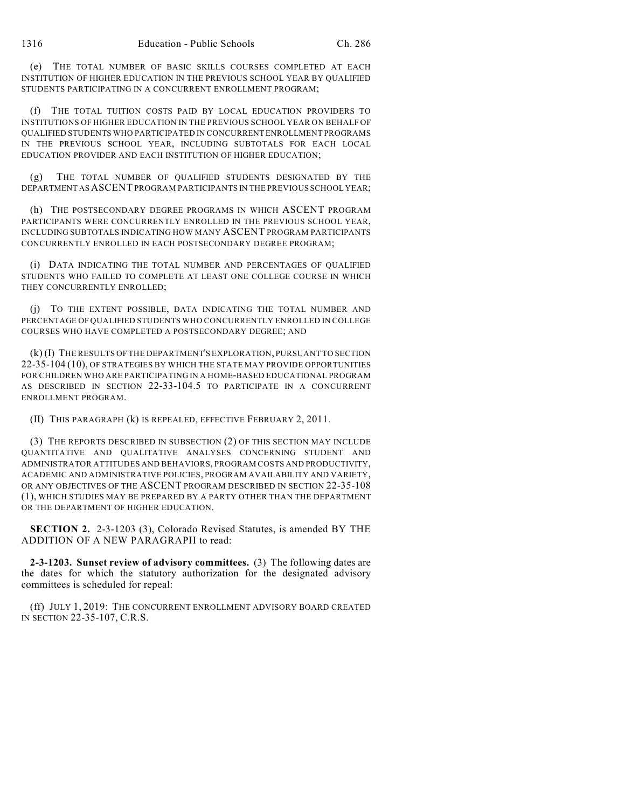(e) THE TOTAL NUMBER OF BASIC SKILLS COURSES COMPLETED AT EACH INSTITUTION OF HIGHER EDUCATION IN THE PREVIOUS SCHOOL YEAR BY QUALIFIED STUDENTS PARTICIPATING IN A CONCURRENT ENROLLMENT PROGRAM;

(f) THE TOTAL TUITION COSTS PAID BY LOCAL EDUCATION PROVIDERS TO INSTITUTIONS OF HIGHER EDUCATION IN THE PREVIOUS SCHOOL YEAR ON BEHALF OF QUALIFIED STUDENTS WHO PARTICIPATED IN CONCURRENT ENROLLMENT PROGRAMS IN THE PREVIOUS SCHOOL YEAR, INCLUDING SUBTOTALS FOR EACH LOCAL EDUCATION PROVIDER AND EACH INSTITUTION OF HIGHER EDUCATION;

(g) THE TOTAL NUMBER OF QUALIFIED STUDENTS DESIGNATED BY THE DEPARTMENT AS ASCENT PROGRAM PARTICIPANTS IN THE PREVIOUS SCHOOL YEAR;

(h) THE POSTSECONDARY DEGREE PROGRAMS IN WHICH ASCENT PROGRAM PARTICIPANTS WERE CONCURRENTLY ENROLLED IN THE PREVIOUS SCHOOL YEAR, INCLUDING SUBTOTALS INDICATING HOW MANY ASCENT PROGRAM PARTICIPANTS CONCURRENTLY ENROLLED IN EACH POSTSECONDARY DEGREE PROGRAM;

(i) DATA INDICATING THE TOTAL NUMBER AND PERCENTAGES OF QUALIFIED STUDENTS WHO FAILED TO COMPLETE AT LEAST ONE COLLEGE COURSE IN WHICH THEY CONCURRENTLY ENROLLED;

(j) TO THE EXTENT POSSIBLE, DATA INDICATING THE TOTAL NUMBER AND PERCENTAGE OF QUALIFIED STUDENTS WHO CONCURRENTLY ENROLLED IN COLLEGE COURSES WHO HAVE COMPLETED A POSTSECONDARY DEGREE; AND

(k) (I) THE RESULTS OF THE DEPARTMENT'S EXPLORATION, PURSUANT TO SECTION 22-35-104 (10), OF STRATEGIES BY WHICH THE STATE MAY PROVIDE OPPORTUNITIES FOR CHILDREN WHO ARE PARTICIPATING IN A HOME-BASED EDUCATIONAL PROGRAM AS DESCRIBED IN SECTION 22-33-104.5 TO PARTICIPATE IN A CONCURRENT ENROLLMENT PROGRAM.

(II) THIS PARAGRAPH (k) IS REPEALED, EFFECTIVE FEBRUARY 2, 2011.

(3) THE REPORTS DESCRIBED IN SUBSECTION (2) OF THIS SECTION MAY INCLUDE QUANTITATIVE AND QUALITATIVE ANALYSES CONCERNING STUDENT AND ADMINISTRATOR ATTITUDES AND BEHAVIORS, PROGRAM COSTS AND PRODUCTIVITY, ACADEMIC AND ADMINISTRATIVE POLICIES, PROGRAM AVAILABILITY AND VARIETY, OR ANY OBJECTIVES OF THE ASCENT PROGRAM DESCRIBED IN SECTION 22-35-108 (1), WHICH STUDIES MAY BE PREPARED BY A PARTY OTHER THAN THE DEPARTMENT OR THE DEPARTMENT OF HIGHER EDUCATION.

**SECTION 2.** 2-3-1203 (3), Colorado Revised Statutes, is amended BY THE ADDITION OF A NEW PARAGRAPH to read:

**2-3-1203. Sunset review of advisory committees.** (3) The following dates are the dates for which the statutory authorization for the designated advisory committees is scheduled for repeal:

(ff) JULY 1, 2019: THE CONCURRENT ENROLLMENT ADVISORY BOARD CREATED IN SECTION 22-35-107, C.R.S.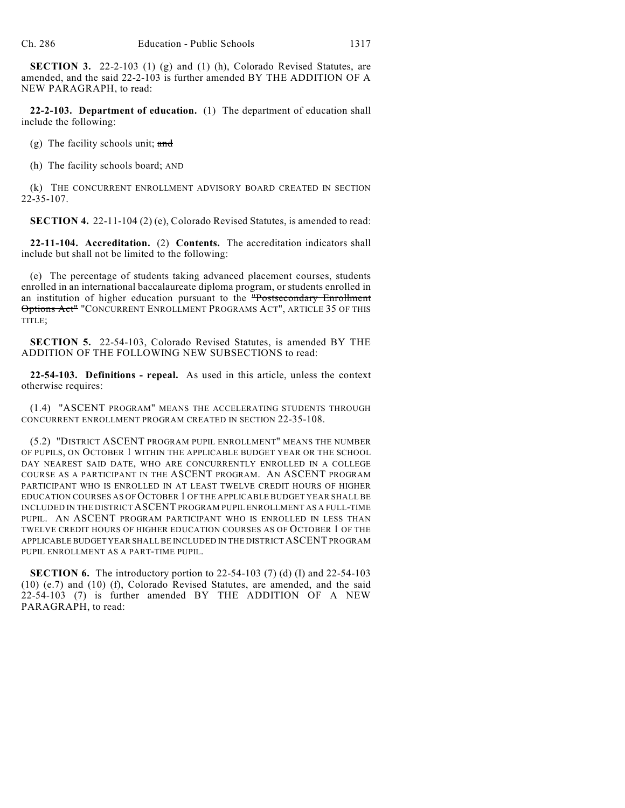**SECTION 3.** 22-2-103 (1) (g) and (1) (h), Colorado Revised Statutes, are amended, and the said 22-2-103 is further amended BY THE ADDITION OF A NEW PARAGRAPH, to read:

**22-2-103. Department of education.** (1) The department of education shall include the following:

(g) The facility schools unit;  $\frac{and}{}$ 

(h) The facility schools board; AND

(k) THE CONCURRENT ENROLLMENT ADVISORY BOARD CREATED IN SECTION 22-35-107.

**SECTION 4.** 22-11-104 (2) (e), Colorado Revised Statutes, is amended to read:

**22-11-104. Accreditation.** (2) **Contents.** The accreditation indicators shall include but shall not be limited to the following:

(e) The percentage of students taking advanced placement courses, students enrolled in an international baccalaureate diploma program, or students enrolled in an institution of higher education pursuant to the "Postsecondary Enrollment Options Act" "CONCURRENT ENROLLMENT PROGRAMS ACT", ARTICLE 35 OF THIS TITLE;

**SECTION 5.** 22-54-103, Colorado Revised Statutes, is amended BY THE ADDITION OF THE FOLLOWING NEW SUBSECTIONS to read:

**22-54-103. Definitions - repeal.** As used in this article, unless the context otherwise requires:

(1.4) "ASCENT PROGRAM" MEANS THE ACCELERATING STUDENTS THROUGH CONCURRENT ENROLLMENT PROGRAM CREATED IN SECTION 22-35-108.

(5.2) "DISTRICT ASCENT PROGRAM PUPIL ENROLLMENT" MEANS THE NUMBER OF PUPILS, ON OCTOBER 1 WITHIN THE APPLICABLE BUDGET YEAR OR THE SCHOOL DAY NEAREST SAID DATE, WHO ARE CONCURRENTLY ENROLLED IN A COLLEGE COURSE AS A PARTICIPANT IN THE ASCENT PROGRAM. AN ASCENT PROGRAM PARTICIPANT WHO IS ENROLLED IN AT LEAST TWELVE CREDIT HOURS OF HIGHER EDUCATION COURSES AS OF OCTOBER 1 OF THE APPLICABLE BUDGET YEAR SHALL BE INCLUDED IN THE DISTRICT ASCENT PROGRAM PUPIL ENROLLMENT AS A FULL-TIME PUPIL. AN ASCENT PROGRAM PARTICIPANT WHO IS ENROLLED IN LESS THAN TWELVE CREDIT HOURS OF HIGHER EDUCATION COURSES AS OF OCTOBER 1 OF THE APPLICABLE BUDGET YEAR SHALL BE INCLUDED IN THE DISTRICT ASCENT PROGRAM PUPIL ENROLLMENT AS A PART-TIME PUPIL.

**SECTION 6.** The introductory portion to 22-54-103 (7) (d) (I) and 22-54-103 (10) (e.7) and (10) (f), Colorado Revised Statutes, are amended, and the said 22-54-103 (7) is further amended BY THE ADDITION OF A NEW PARAGRAPH, to read: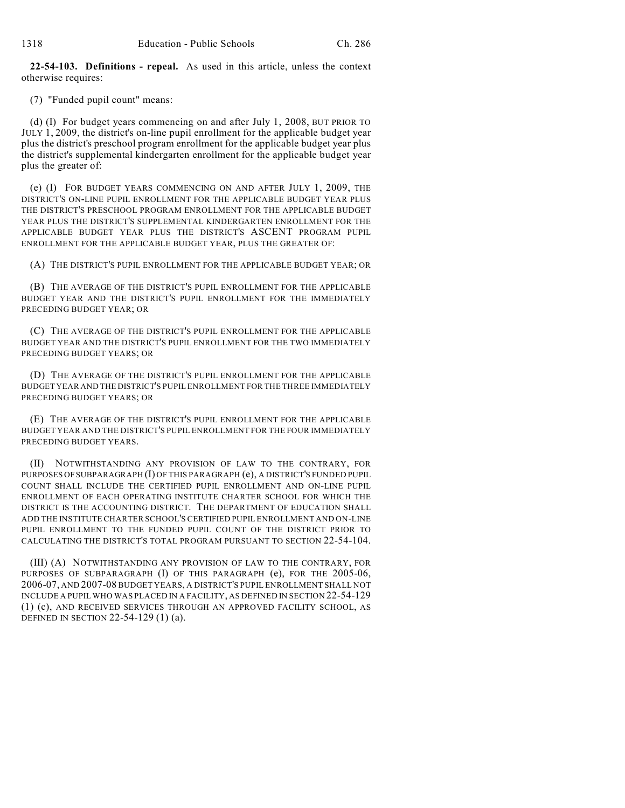**22-54-103. Definitions - repeal.** As used in this article, unless the context otherwise requires:

(7) "Funded pupil count" means:

(d) (I) For budget years commencing on and after July 1, 2008, BUT PRIOR TO JULY 1, 2009, the district's on-line pupil enrollment for the applicable budget year plus the district's preschool program enrollment for the applicable budget year plus the district's supplemental kindergarten enrollment for the applicable budget year plus the greater of:

(e) (I) FOR BUDGET YEARS COMMENCING ON AND AFTER JULY 1, 2009, THE DISTRICT'S ON-LINE PUPIL ENROLLMENT FOR THE APPLICABLE BUDGET YEAR PLUS THE DISTRICT'S PRESCHOOL PROGRAM ENROLLMENT FOR THE APPLICABLE BUDGET YEAR PLUS THE DISTRICT'S SUPPLEMENTAL KINDERGARTEN ENROLLMENT FOR THE APPLICABLE BUDGET YEAR PLUS THE DISTRICT'S ASCENT PROGRAM PUPIL ENROLLMENT FOR THE APPLICABLE BUDGET YEAR, PLUS THE GREATER OF:

(A) THE DISTRICT'S PUPIL ENROLLMENT FOR THE APPLICABLE BUDGET YEAR; OR

(B) THE AVERAGE OF THE DISTRICT'S PUPIL ENROLLMENT FOR THE APPLICABLE BUDGET YEAR AND THE DISTRICT'S PUPIL ENROLLMENT FOR THE IMMEDIATELY PRECEDING BUDGET YEAR; OR

(C) THE AVERAGE OF THE DISTRICT'S PUPIL ENROLLMENT FOR THE APPLICABLE BUDGET YEAR AND THE DISTRICT'S PUPIL ENROLLMENT FOR THE TWO IMMEDIATELY PRECEDING BUDGET YEARS; OR

(D) THE AVERAGE OF THE DISTRICT'S PUPIL ENROLLMENT FOR THE APPLICABLE BUDGET YEAR AND THE DISTRICT'S PUPIL ENROLLMENT FOR THE THREE IMMEDIATELY PRECEDING BUDGET YEARS; OR

(E) THE AVERAGE OF THE DISTRICT'S PUPIL ENROLLMENT FOR THE APPLICABLE BUDGET YEAR AND THE DISTRICT'S PUPIL ENROLLMENT FOR THE FOUR IMMEDIATELY PRECEDING BUDGET YEARS.

(II) NOTWITHSTANDING ANY PROVISION OF LAW TO THE CONTRARY, FOR PURPOSES OF SUBPARAGRAPH (I) OF THIS PARAGRAPH (e), A DISTRICT'S FUNDED PUPIL COUNT SHALL INCLUDE THE CERTIFIED PUPIL ENROLLMENT AND ON-LINE PUPIL ENROLLMENT OF EACH OPERATING INSTITUTE CHARTER SCHOOL FOR WHICH THE DISTRICT IS THE ACCOUNTING DISTRICT. THE DEPARTMENT OF EDUCATION SHALL ADD THE INSTITUTE CHARTER SCHOOL'S CERTIFIED PUPIL ENROLLMENT AND ON-LINE PUPIL ENROLLMENT TO THE FUNDED PUPIL COUNT OF THE DISTRICT PRIOR TO CALCULATING THE DISTRICT'S TOTAL PROGRAM PURSUANT TO SECTION 22-54-104.

(III) (A) NOTWITHSTANDING ANY PROVISION OF LAW TO THE CONTRARY, FOR PURPOSES OF SUBPARAGRAPH (I) OF THIS PARAGRAPH (e), FOR THE 2005-06, 2006-07, AND 2007-08 BUDGET YEARS, A DISTRICT'S PUPIL ENROLLMENT SHALL NOT INCLUDE A PUPIL WHO WAS PLACED IN A FACILITY, AS DEFINED IN SECTION 22-54-129 (1) (c), AND RECEIVED SERVICES THROUGH AN APPROVED FACILITY SCHOOL, AS DEFINED IN SECTION 22-54-129 (1) (a).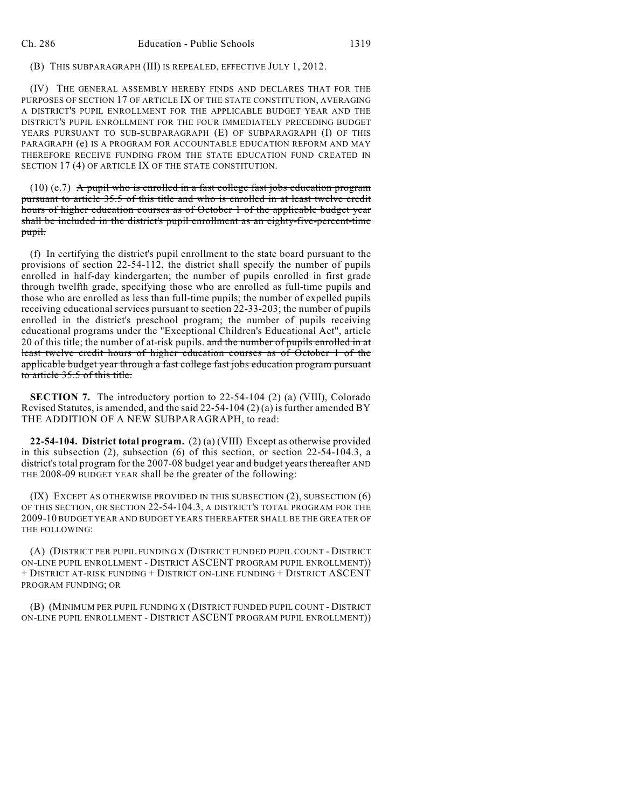(B) THIS SUBPARAGRAPH (III) IS REPEALED, EFFECTIVE JULY 1, 2012.

(IV) THE GENERAL ASSEMBLY HEREBY FINDS AND DECLARES THAT FOR THE PURPOSES OF SECTION 17 OF ARTICLE IX OF THE STATE CONSTITUTION, AVERAGING A DISTRICT'S PUPIL ENROLLMENT FOR THE APPLICABLE BUDGET YEAR AND THE DISTRICT'S PUPIL ENROLLMENT FOR THE FOUR IMMEDIATELY PRECEDING BUDGET YEARS PURSUANT TO SUB-SUBPARAGRAPH (E) OF SUBPARAGRAPH (I) OF THIS PARAGRAPH (e) IS A PROGRAM FOR ACCOUNTABLE EDUCATION REFORM AND MAY THEREFORE RECEIVE FUNDING FROM THE STATE EDUCATION FUND CREATED IN SECTION 17 (4) OF ARTICLE IX OF THE STATE CONSTITUTION.

 $(10)$  (e.7) A pupil who is enrolled in a fast college fast jobs education program pursuant to article 35.5 of this title and who is enrolled in at least twelve credit hours of higher education courses as of October 1 of the applicable budget year shall be included in the district's pupil enrollment as an eighty-five-percent-time pupil.

(f) In certifying the district's pupil enrollment to the state board pursuant to the provisions of section 22-54-112, the district shall specify the number of pupils enrolled in half-day kindergarten; the number of pupils enrolled in first grade through twelfth grade, specifying those who are enrolled as full-time pupils and those who are enrolled as less than full-time pupils; the number of expelled pupils receiving educational services pursuant to section 22-33-203; the number of pupils enrolled in the district's preschool program; the number of pupils receiving educational programs under the "Exceptional Children's Educational Act", article 20 of this title; the number of at-risk pupils. and the number of pupils enrolled in at least twelve credit hours of higher education courses as of October 1 of the applicable budget year through a fast college fast jobs education program pursuant to article 35.5 of this title.

**SECTION 7.** The introductory portion to 22-54-104 (2) (a) (VIII), Colorado Revised Statutes, is amended, and the said  $22-54-104(2)(a)$  is further amended BY THE ADDITION OF A NEW SUBPARAGRAPH, to read:

**22-54-104. District total program.** (2) (a) (VIII) Except as otherwise provided in this subsection  $(2)$ , subsection  $(6)$  of this section, or section  $22-54-104.3$ , a district's total program for the 2007-08 budget year and budget years thereafter AND THE 2008-09 BUDGET YEAR shall be the greater of the following:

(IX) EXCEPT AS OTHERWISE PROVIDED IN THIS SUBSECTION (2), SUBSECTION (6) OF THIS SECTION, OR SECTION 22-54-104.3, A DISTRICT'S TOTAL PROGRAM FOR THE 2009-10 BUDGET YEAR AND BUDGET YEARS THEREAFTER SHALL BE THE GREATER OF THE FOLLOWING:

(A) (DISTRICT PER PUPIL FUNDING X (DISTRICT FUNDED PUPIL COUNT - DISTRICT ON-LINE PUPIL ENROLLMENT - DISTRICT ASCENT PROGRAM PUPIL ENROLLMENT)) + DISTRICT AT-RISK FUNDING + DISTRICT ON-LINE FUNDING + DISTRICT ASCENT PROGRAM FUNDING; OR

(B) (MINIMUM PER PUPIL FUNDING X (DISTRICT FUNDED PUPIL COUNT - DISTRICT ON-LINE PUPIL ENROLLMENT - DISTRICT ASCENT PROGRAM PUPIL ENROLLMENT))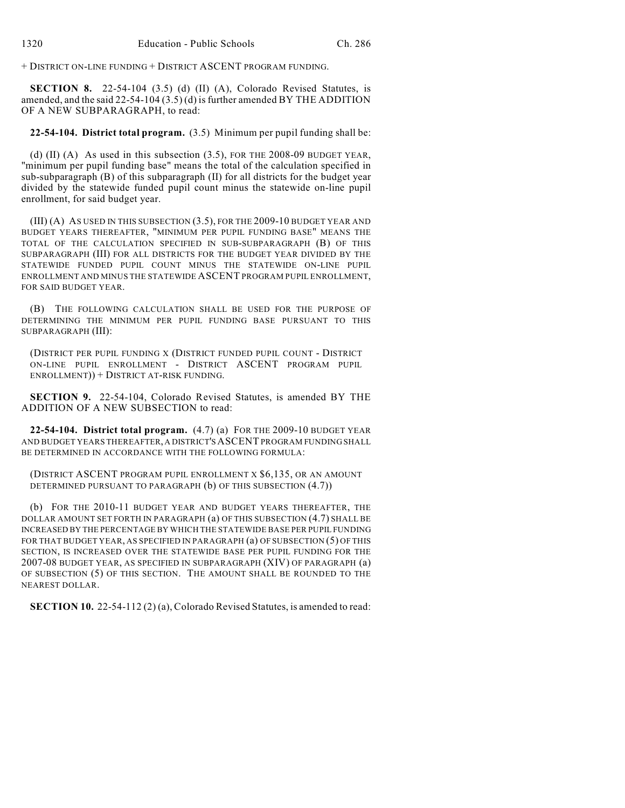+ DISTRICT ON-LINE FUNDING + DISTRICT ASCENT PROGRAM FUNDING.

**SECTION 8.** 22-54-104 (3.5) (d) (II) (A), Colorado Revised Statutes, is amended, and the said 22-54-104 (3.5) (d) is further amended BY THE ADDITION OF A NEW SUBPARAGRAPH, to read:

**22-54-104. District total program.** (3.5) Minimum per pupil funding shall be:

(d) (II) (A) As used in this subsection  $(3.5)$ , FOR THE 2008-09 BUDGET YEAR, "minimum per pupil funding base" means the total of the calculation specified in sub-subparagraph (B) of this subparagraph (II) for all districts for the budget year divided by the statewide funded pupil count minus the statewide on-line pupil enrollment, for said budget year.

(III) (A) AS USED IN THIS SUBSECTION (3.5), FOR THE 2009-10 BUDGET YEAR AND BUDGET YEARS THEREAFTER, "MINIMUM PER PUPIL FUNDING BASE" MEANS THE TOTAL OF THE CALCULATION SPECIFIED IN SUB-SUBPARAGRAPH (B) OF THIS SUBPARAGRAPH (III) FOR ALL DISTRICTS FOR THE BUDGET YEAR DIVIDED BY THE STATEWIDE FUNDED PUPIL COUNT MINUS THE STATEWIDE ON-LINE PUPIL ENROLLMENT AND MINUS THE STATEWIDE ASCENT PROGRAM PUPIL ENROLLMENT, FOR SAID BUDGET YEAR.

(B) THE FOLLOWING CALCULATION SHALL BE USED FOR THE PURPOSE OF DETERMINING THE MINIMUM PER PUPIL FUNDING BASE PURSUANT TO THIS SUBPARAGRAPH (III):

(DISTRICT PER PUPIL FUNDING X (DISTRICT FUNDED PUPIL COUNT - DISTRICT ON-LINE PUPIL ENROLLMENT - DISTRICT ASCENT PROGRAM PUPIL ENROLLMENT)) + DISTRICT AT-RISK FUNDING.

**SECTION 9.** 22-54-104, Colorado Revised Statutes, is amended BY THE ADDITION OF A NEW SUBSECTION to read:

**22-54-104. District total program.** (4.7) (a) FOR THE 2009-10 BUDGET YEAR AND BUDGET YEARS THEREAFTER, A DISTRICT'S ASCENT PROGRAM FUNDING SHALL BE DETERMINED IN ACCORDANCE WITH THE FOLLOWING FORMULA:

(DISTRICT ASCENT PROGRAM PUPIL ENROLLMENT X \$6,135, OR AN AMOUNT DETERMINED PURSUANT TO PARAGRAPH (b) OF THIS SUBSECTION (4.7))

(b) FOR THE 2010-11 BUDGET YEAR AND BUDGET YEARS THEREAFTER, THE DOLLAR AMOUNT SET FORTH IN PARAGRAPH (a) OF THIS SUBSECTION (4.7) SHALL BE INCREASED BY THE PERCENTAGE BY WHICH THE STATEWIDE BASE PER PUPIL FUNDING FOR THAT BUDGET YEAR, AS SPECIFIED IN PARAGRAPH (a) OF SUBSECTION (5) OF THIS SECTION, IS INCREASED OVER THE STATEWIDE BASE PER PUPIL FUNDING FOR THE 2007-08 BUDGET YEAR, AS SPECIFIED IN SUBPARAGRAPH (XIV) OF PARAGRAPH (a) OF SUBSECTION (5) OF THIS SECTION. THE AMOUNT SHALL BE ROUNDED TO THE NEAREST DOLLAR.

**SECTION 10.** 22-54-112 (2) (a), Colorado Revised Statutes, is amended to read: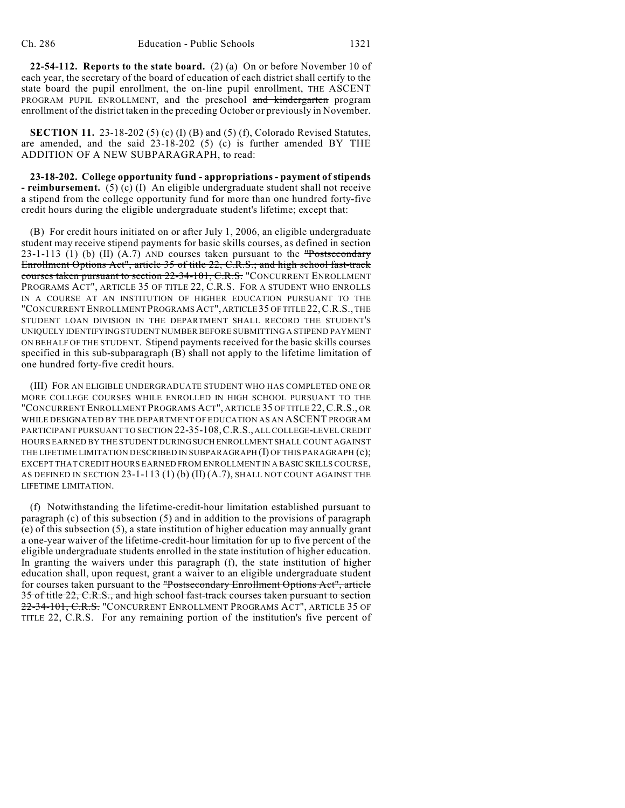**22-54-112. Reports to the state board.** (2) (a) On or before November 10 of each year, the secretary of the board of education of each district shall certify to the state board the pupil enrollment, the on-line pupil enrollment, THE ASCENT PROGRAM PUPIL ENROLLMENT, and the preschool and kindergarten program enrollment of the district taken in the preceding October or previously in November.

**SECTION 11.** 23-18-202 (5) (c) (I) (B) and (5) (f), Colorado Revised Statutes, are amended, and the said 23-18-202 (5) (c) is further amended BY THE ADDITION OF A NEW SUBPARAGRAPH, to read:

**23-18-202. College opportunity fund - appropriations - payment of stipends - reimbursement.** (5) (c) (I) An eligible undergraduate student shall not receive a stipend from the college opportunity fund for more than one hundred forty-five credit hours during the eligible undergraduate student's lifetime; except that:

(B) For credit hours initiated on or after July 1, 2006, an eligible undergraduate student may receive stipend payments for basic skills courses, as defined in section 23-1-113 (1) (b) (II) (A.7) AND courses taken pursuant to the  $\frac{10000 \text{ m}}{10000 \text{ m}}$ Enrollment Options Act", article 35 of title 22, C.R.S.; and high school fast-track courses taken pursuant to section 22-34-101, C.R.S. "CONCURRENT ENROLLMENT PROGRAMS ACT", ARTICLE 35 OF TITLE 22, C.R.S. FOR A STUDENT WHO ENROLLS IN A COURSE AT AN INSTITUTION OF HIGHER EDUCATION PURSUANT TO THE "CONCURRENT ENROLLMENT PROGRAMS ACT", ARTICLE 35 OF TITLE 22,C.R.S., THE STUDENT LOAN DIVISION IN THE DEPARTMENT SHALL RECORD THE STUDENT'S UNIQUELY IDENTIFYING STUDENT NUMBER BEFORE SUBMITTING A STIPEND PAYMENT ON BEHALF OF THE STUDENT. Stipend payments received for the basic skills courses specified in this sub-subparagraph (B) shall not apply to the lifetime limitation of one hundred forty-five credit hours.

(III) FOR AN ELIGIBLE UNDERGRADUATE STUDENT WHO HAS COMPLETED ONE OR MORE COLLEGE COURSES WHILE ENROLLED IN HIGH SCHOOL PURSUANT TO THE "CONCURRENT ENROLLMENT PROGRAMS ACT", ARTICLE 35 OF TITLE 22,C.R.S., OR WHILE DESIGNATED BY THE DEPARTMENT OF EDUCATION AS AN ASCENT PROGRAM PARTICIPANT PURSUANT TO SECTION 22-35-108,C.R.S., ALL COLLEGE-LEVEL CREDIT HOURS EARNED BY THE STUDENT DURING SUCH ENROLLMENT SHALL COUNT AGAINST THE LIFETIME LIMITATION DESCRIBED IN SUBPARAGRAPH (I) OF THIS PARAGRAPH (c); EXCEPT THAT CREDIT HOURS EARNED FROM ENROLLMENT IN A BASIC SKILLS COURSE, AS DEFINED IN SECTION  $23-1-113(1)$  (b) (II)  $(A.7)$ , SHALL NOT COUNT AGAINST THE LIFETIME LIMITATION.

(f) Notwithstanding the lifetime-credit-hour limitation established pursuant to paragraph (c) of this subsection (5) and in addition to the provisions of paragraph (e) of this subsection (5), a state institution of higher education may annually grant a one-year waiver of the lifetime-credit-hour limitation for up to five percent of the eligible undergraduate students enrolled in the state institution of higher education. In granting the waivers under this paragraph (f), the state institution of higher education shall, upon request, grant a waiver to an eligible undergraduate student for courses taken pursuant to the "Postsecondary Enrollment Options Act", article 35 of title 22, C.R.S., and high school fast-track courses taken pursuant to section 22-34-101, C.R.S. "CONCURRENT ENROLLMENT PROGRAMS ACT", ARTICLE 35 OF TITLE 22, C.R.S. For any remaining portion of the institution's five percent of